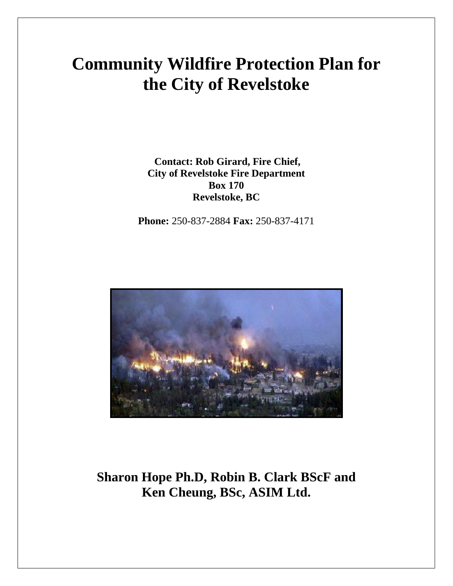# **Community Wildfire Protection Plan for the City of Revelstoke**

**Contact: Rob Girard, Fire Chief, City of Revelstoke Fire Department Box 170 Revelstoke, BC** 

**Phone:** 250-837-2884 **Fax:** 250-837-4171



## **Sharon Hope Ph.D, Robin B. Clark BScF and Ken Cheung, BSc, ASIM Ltd.**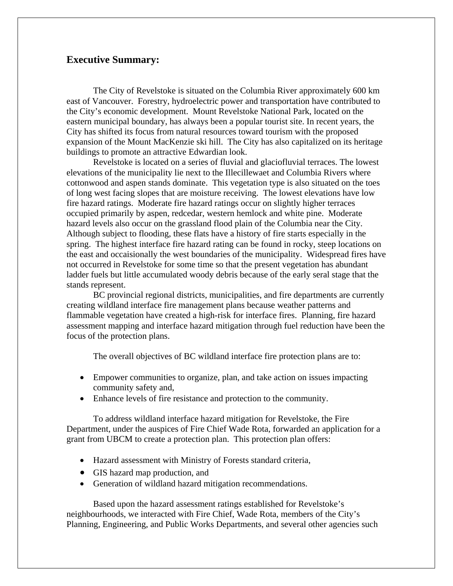## **Executive Summary:**

The City of Revelstoke is situated on the Columbia River approximately 600 km east of Vancouver. Forestry, hydroelectric power and transportation have contributed to the City's economic development. Mount Revelstoke National Park, located on the eastern municipal boundary, has always been a popular tourist site. In recent years, the City has shifted its focus from natural resources toward tourism with the proposed expansion of the Mount MacKenzie ski hill. The City has also capitalized on its heritage buildings to promote an attractive Edwardian look.

Revelstoke is located on a series of fluvial and glaciofluvial terraces. The lowest elevations of the municipality lie next to the Illecillewaet and Columbia Rivers where cottonwood and aspen stands dominate. This vegetation type is also situated on the toes of long west facing slopes that are moisture receiving. The lowest elevations have low fire hazard ratings. Moderate fire hazard ratings occur on slightly higher terraces occupied primarily by aspen, redcedar, western hemlock and white pine. Moderate hazard levels also occur on the grassland flood plain of the Columbia near the City. Although subject to flooding, these flats have a history of fire starts especially in the spring. The highest interface fire hazard rating can be found in rocky, steep locations on the east and occaisionally the west boundaries of the municipality. Widespread fires have not occurred in Revelstoke for some time so that the present vegetation has abundant ladder fuels but little accumulated woody debris because of the early seral stage that the stands represent.

BC provincial regional districts, municipalities, and fire departments are currently creating wildland interface fire management plans because weather patterns and flammable vegetation have created a high-risk for interface fires. Planning, fire hazard assessment mapping and interface hazard mitigation through fuel reduction have been the focus of the protection plans.

The overall objectives of BC wildland interface fire protection plans are to:

- Empower communities to organize, plan, and take action on issues impacting community safety and,
- Enhance levels of fire resistance and protection to the community.

To address wildland interface hazard mitigation for Revelstoke, the Fire Department, under the auspices of Fire Chief Wade Rota, forwarded an application for a grant from UBCM to create a protection plan. This protection plan offers:

- Hazard assessment with Ministry of Forests standard criteria,
- GIS hazard map production, and
- Generation of wildland hazard mitigation recommendations.

Based upon the hazard assessment ratings established for Revelstoke's neighbourhoods, we interacted with Fire Chief, Wade Rota, members of the City's Planning, Engineering, and Public Works Departments, and several other agencies such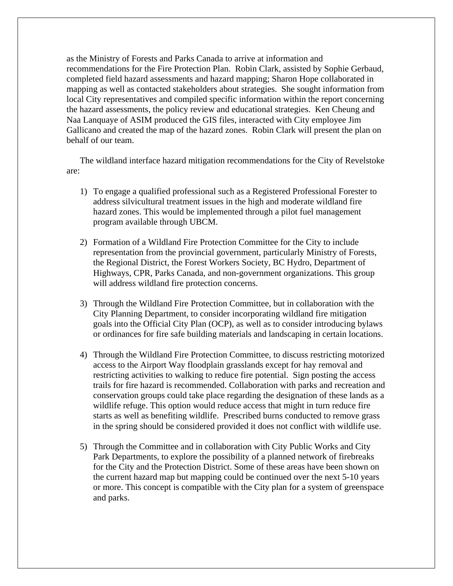as the Ministry of Forests and Parks Canada to arrive at information and recommendations for the Fire Protection Plan. Robin Clark, assisted by Sophie Gerbaud, completed field hazard assessments and hazard mapping; Sharon Hope collaborated in mapping as well as contacted stakeholders about strategies. She sought information from local City representatives and compiled specific information within the report concerning the hazard assessments, the policy review and educational strategies. Ken Cheung and Naa Lanquaye of ASIM produced the GIS files, interacted with City employee Jim Gallicano and created the map of the hazard zones. Robin Clark will present the plan on behalf of our team.

The wildland interface hazard mitigation recommendations for the City of Revelstoke are:

- 1) To engage a qualified professional such as a Registered Professional Forester to address silvicultural treatment issues in the high and moderate wildland fire hazard zones. This would be implemented through a pilot fuel management program available through UBCM.
- 2) Formation of a Wildland Fire Protection Committee for the City to include representation from the provincial government, particularly Ministry of Forests, the Regional District, the Forest Workers Society, BC Hydro, Department of Highways, CPR, Parks Canada, and non-government organizations. This group will address wildland fire protection concerns.
- 3) Through the Wildland Fire Protection Committee, but in collaboration with the City Planning Department, to consider incorporating wildland fire mitigation goals into the Official City Plan (OCP), as well as to consider introducing bylaws or ordinances for fire safe building materials and landscaping in certain locations.
- 4) Through the Wildland Fire Protection Committee, to discuss restricting motorized access to the Airport Way floodplain grasslands except for hay removal and restricting activities to walking to reduce fire potential. Sign posting the access trails for fire hazard is recommended. Collaboration with parks and recreation and conservation groups could take place regarding the designation of these lands as a wildlife refuge. This option would reduce access that might in turn reduce fire starts as well as benefiting wildlife. Prescribed burns conducted to remove grass in the spring should be considered provided it does not conflict with wildlife use.
- 5) Through the Committee and in collaboration with City Public Works and City Park Departments, to explore the possibility of a planned network of firebreaks for the City and the Protection District. Some of these areas have been shown on the current hazard map but mapping could be continued over the next 5-10 years or more. This concept is compatible with the City plan for a system of greenspace and parks.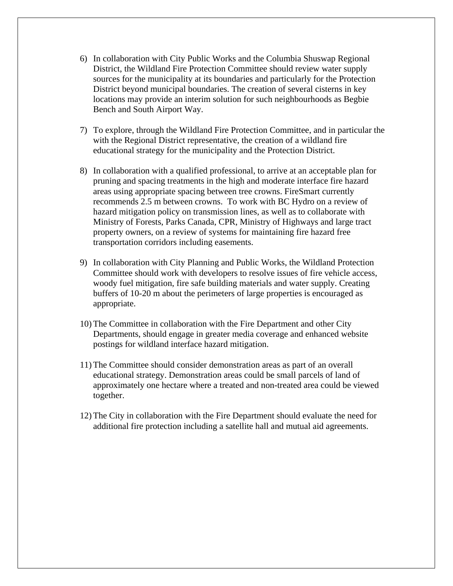- 6) In collaboration with City Public Works and the Columbia Shuswap Regional District, the Wildland Fire Protection Committee should review water supply sources for the municipality at its boundaries and particularly for the Protection District beyond municipal boundaries. The creation of several cisterns in key locations may provide an interim solution for such neighbourhoods as Begbie Bench and South Airport Way.
- 7) To explore, through the Wildland Fire Protection Committee, and in particular the with the Regional District representative, the creation of a wildland fire educational strategy for the municipality and the Protection District.
- 8) In collaboration with a qualified professional, to arrive at an acceptable plan for pruning and spacing treatments in the high and moderate interface fire hazard areas using appropriate spacing between tree crowns. FireSmart currently recommends 2.5 m between crowns. To work with BC Hydro on a review of hazard mitigation policy on transmission lines, as well as to collaborate with Ministry of Forests, Parks Canada, CPR, Ministry of Highways and large tract property owners, on a review of systems for maintaining fire hazard free transportation corridors including easements.
- 9) In collaboration with City Planning and Public Works, the Wildland Protection Committee should work with developers to resolve issues of fire vehicle access, woody fuel mitigation, fire safe building materials and water supply. Creating buffers of 10-20 m about the perimeters of large properties is encouraged as appropriate.
- 10) The Committee in collaboration with the Fire Department and other City Departments, should engage in greater media coverage and enhanced website postings for wildland interface hazard mitigation.
- 11) The Committee should consider demonstration areas as part of an overall educational strategy. Demonstration areas could be small parcels of land of approximately one hectare where a treated and non-treated area could be viewed together.
- 12) The City in collaboration with the Fire Department should evaluate the need for additional fire protection including a satellite hall and mutual aid agreements.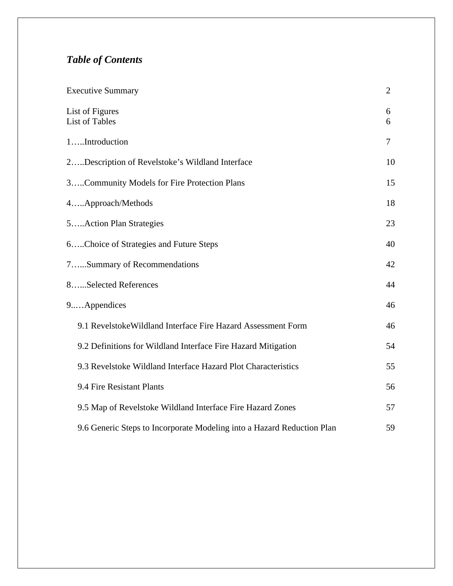## *Table of Contents*

| <b>Executive Summary</b>                                               | $\overline{2}$ |
|------------------------------------------------------------------------|----------------|
| List of Figures<br><b>List of Tables</b>                               | 6<br>6         |
| 1Introduction                                                          | 7              |
| 2Description of Revelstoke's Wildland Interface                        | 10             |
| 3Community Models for Fire Protection Plans                            | 15             |
| 4Approach/Methods                                                      | 18             |
| 5Action Plan Strategies                                                | 23             |
| 6Choice of Strategies and Future Steps                                 | 40             |
| 7Summary of Recommendations                                            | 42             |
| 8Selected References                                                   | 44             |
| 9Appendices                                                            | 46             |
| 9.1 Revelstoke Wildland Interface Fire Hazard Assessment Form          | 46             |
| 9.2 Definitions for Wildland Interface Fire Hazard Mitigation          | 54             |
| 9.3 Revelstoke Wildland Interface Hazard Plot Characteristics          | 55             |
| 9.4 Fire Resistant Plants                                              | 56             |
| 9.5 Map of Revelstoke Wildland Interface Fire Hazard Zones             | 57             |
| 9.6 Generic Steps to Incorporate Modeling into a Hazard Reduction Plan | 59             |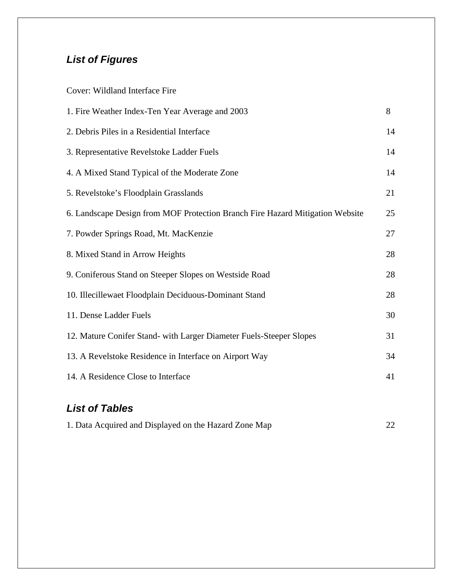## *List of Figures*

| Cover: Wildland Interface Fire                                                |    |
|-------------------------------------------------------------------------------|----|
| 1. Fire Weather Index-Ten Year Average and 2003                               | 8  |
| 2. Debris Piles in a Residential Interface                                    | 14 |
| 3. Representative Revelstoke Ladder Fuels                                     | 14 |
| 4. A Mixed Stand Typical of the Moderate Zone                                 | 14 |
| 5. Revelstoke's Floodplain Grasslands                                         | 21 |
| 6. Landscape Design from MOF Protection Branch Fire Hazard Mitigation Website | 25 |
| 7. Powder Springs Road, Mt. MacKenzie                                         | 27 |
| 8. Mixed Stand in Arrow Heights                                               | 28 |
| 9. Coniferous Stand on Steeper Slopes on Westside Road                        | 28 |
| 10. Illecillewaet Floodplain Deciduous-Dominant Stand                         | 28 |
| 11. Dense Ladder Fuels                                                        | 30 |
| 12. Mature Conifer Stand- with Larger Diameter Fuels-Steeper Slopes           | 31 |
| 13. A Revelstoke Residence in Interface on Airport Way                        | 34 |
| 14. A Residence Close to Interface                                            | 41 |
|                                                                               |    |

## *List of Tables*

| 1. Data Acquired and Displayed on the Hazard Zone Map | 22 |
|-------------------------------------------------------|----|
|-------------------------------------------------------|----|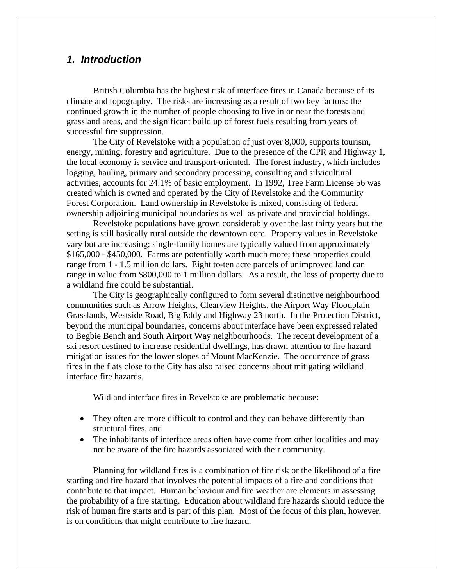## *1. Introduction*

British Columbia has the highest risk of interface fires in Canada because of its climate and topography. The risks are increasing as a result of two key factors: the continued growth in the number of people choosing to live in or near the forests and grassland areas, and the significant build up of forest fuels resulting from years of successful fire suppression.

The City of Revelstoke with a population of just over 8,000, supports tourism, energy, mining, forestry and agriculture. Due to the presence of the CPR and Highway 1, the local economy is service and transport-oriented. The forest industry, which includes logging, hauling, primary and secondary processing, consulting and silvicultural activities, accounts for 24.1% of basic employment. In 1992, Tree Farm License 56 was created which is owned and operated by the City of Revelstoke and the Community Forest Corporation. Land ownership in Revelstoke is mixed, consisting of federal ownership adjoining municipal boundaries as well as private and provincial holdings.

Revelstoke populations have grown considerably over the last thirty years but the setting is still basically rural outside the downtown core. Property values in Revelstoke vary but are increasing; single-family homes are typically valued from approximately \$165,000 - \$450,000. Farms are potentially worth much more; these properties could range from 1 - 1.5 million dollars. Eight to-ten acre parcels of unimproved land can range in value from \$800,000 to 1 million dollars. As a result, the loss of property due to a wildland fire could be substantial.

The City is geographically configured to form several distinctive neighbourhood communities such as Arrow Heights, Clearview Heights, the Airport Way Floodplain Grasslands, Westside Road, Big Eddy and Highway 23 north. In the Protection District, beyond the municipal boundaries, concerns about interface have been expressed related to Begbie Bench and South Airport Way neighbourhoods. The recent development of a ski resort destined to increase residential dwellings, has drawn attention to fire hazard mitigation issues for the lower slopes of Mount MacKenzie. The occurrence of grass fires in the flats close to the City has also raised concerns about mitigating wildland interface fire hazards.

Wildland interface fires in Revelstoke are problematic because:

- They often are more difficult to control and they can behave differently than structural fires, and
- The inhabitants of interface areas often have come from other localities and may not be aware of the fire hazards associated with their community.

Planning for wildland fires is a combination of fire risk or the likelihood of a fire starting and fire hazard that involves the potential impacts of a fire and conditions that contribute to that impact. Human behaviour and fire weather are elements in assessing the probability of a fire starting. Education about wildland fire hazards should reduce the risk of human fire starts and is part of this plan. Most of the focus of this plan, however, is on conditions that might contribute to fire hazard.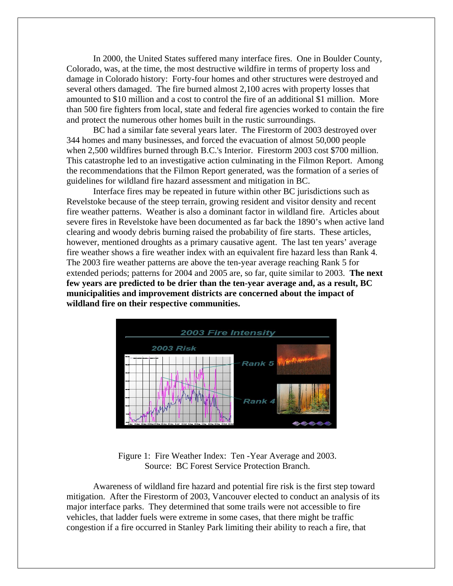In 2000, the United States suffered many interface fires. One in Boulder County, Colorado, was, at the time, the most destructive wildfire in terms of property loss and damage in Colorado history: Forty-four homes and other structures were destroyed and several others damaged. The fire burned almost 2,100 acres with property losses that amounted to \$10 million and a cost to control the fire of an additional \$1 million. More than 500 fire fighters from local, state and federal fire agencies worked to contain the fire and protect the numerous other homes built in the rustic surroundings.

BC had a similar fate several years later. The Firestorm of 2003 destroyed over 344 homes and many businesses, and forced the evacuation of almost 50,000 people when 2,500 wildfires burned through B.C.'s Interior. Firestorm 2003 cost \$700 million. This catastrophe led to an investigative action culminating in the Filmon Report. Among the recommendations that the Filmon Report generated, was the formation of a series of guidelines for wildland fire hazard assessment and mitigation in BC.

Interface fires may be repeated in future within other BC jurisdictions such as Revelstoke because of the steep terrain, growing resident and visitor density and recent fire weather patterns. Weather is also a dominant factor in wildland fire. Articles about severe fires in Revelstoke have been documented as far back the 1890's when active land clearing and woody debris burning raised the probability of fire starts. These articles, however, mentioned droughts as a primary causative agent. The last ten years' average fire weather shows a fire weather index with an equivalent fire hazard less than Rank 4. The 2003 fire weather patterns are above the ten-year average reaching Rank 5 for extended periods; patterns for 2004 and 2005 are, so far, quite similar to 2003. **The next few years are predicted to be drier than the ten-year average and, as a result, BC municipalities and improvement districts are concerned about the impact of wildland fire on their respective communities.** 



Figure 1: Fire Weather Index: Ten -Year Average and 2003. Source: BC Forest Service Protection Branch.

Awareness of wildland fire hazard and potential fire risk is the first step toward mitigation. After the Firestorm of 2003, Vancouver elected to conduct an analysis of its major interface parks. They determined that some trails were not accessible to fire vehicles, that ladder fuels were extreme in some cases, that there might be traffic congestion if a fire occurred in Stanley Park limiting their ability to reach a fire, that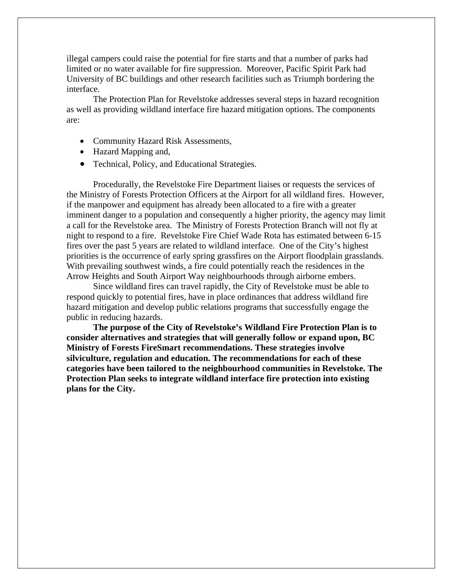illegal campers could raise the potential for fire starts and that a number of parks had limited or no water available for fire suppression. Moreover, Pacific Spirit Park had University of BC buildings and other research facilities such as Triumph bordering the interface.

The Protection Plan for Revelstoke addresses several steps in hazard recognition as well as providing wildland interface fire hazard mitigation options. The components are:

- Community Hazard Risk Assessments,
- Hazard Mapping and,
- Technical, Policy, and Educational Strategies.

Procedurally, the Revelstoke Fire Department liaises or requests the services of the Ministry of Forests Protection Officers at the Airport for all wildland fires. However, if the manpower and equipment has already been allocated to a fire with a greater imminent danger to a population and consequently a higher priority, the agency may limit a call for the Revelstoke area. The Ministry of Forests Protection Branch will not fly at night to respond to a fire. Revelstoke Fire Chief Wade Rota has estimated between 6-15 fires over the past 5 years are related to wildland interface. One of the City's highest priorities is the occurrence of early spring grassfires on the Airport floodplain grasslands. With prevailing southwest winds, a fire could potentially reach the residences in the Arrow Heights and South Airport Way neighbourhoods through airborne embers.

Since wildland fires can travel rapidly, the City of Revelstoke must be able to respond quickly to potential fires, have in place ordinances that address wildland fire hazard mitigation and develop public relations programs that successfully engage the public in reducing hazards.

**The purpose of the City of Revelstoke's Wildland Fire Protection Plan is to consider alternatives and strategies that will generally follow or expand upon, BC Ministry of Forests FireSmart recommendations. These strategies involve silviculture, regulation and education. The recommendations for each of these categories have been tailored to the neighbourhood communities in Revelstoke. The Protection Plan seeks to integrate wildland interface fire protection into existing plans for the City.**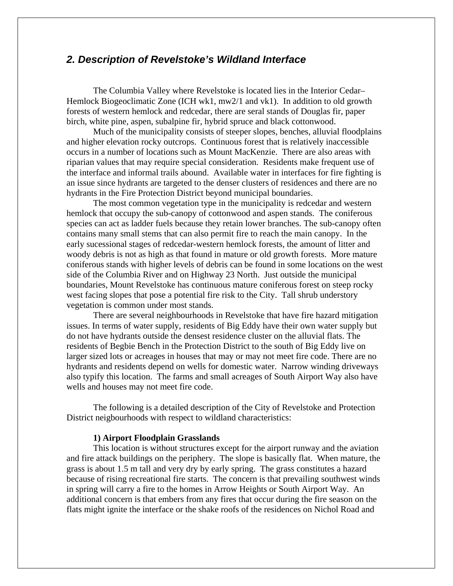## *2. Description of Revelstoke's Wildland Interface*

The Columbia Valley where Revelstoke is located lies in the Interior Cedar– Hemlock Biogeoclimatic Zone (ICH wk1, mw2/1 and vk1). In addition to old growth forests of western hemlock and redcedar, there are seral stands of Douglas fir, paper birch, white pine, aspen, subalpine fir, hybrid spruce and black cottonwood.

Much of the municipality consists of steeper slopes, benches, alluvial floodplains and higher elevation rocky outcrops. Continuous forest that is relatively inaccessible occurs in a number of locations such as Mount MacKenzie. There are also areas with riparian values that may require special consideration. Residents make frequent use of the interface and informal trails abound. Available water in interfaces for fire fighting is an issue since hydrants are targeted to the denser clusters of residences and there are no hydrants in the Fire Protection District beyond municipal boundaries.

The most common vegetation type in the municipality is redcedar and western hemlock that occupy the sub-canopy of cottonwood and aspen stands. The coniferous species can act as ladder fuels because they retain lower branches. The sub-canopy often contains many small stems that can also permit fire to reach the main canopy. In the early sucessional stages of redcedar-western hemlock forests, the amount of litter and woody debris is not as high as that found in mature or old growth forests. More mature coniferous stands with higher levels of debris can be found in some locations on the west side of the Columbia River and on Highway 23 North. Just outside the municipal boundaries, Mount Revelstoke has continuous mature coniferous forest on steep rocky west facing slopes that pose a potential fire risk to the City. Tall shrub understory vegetation is common under most stands.

There are several neighbourhoods in Revelstoke that have fire hazard mitigation issues. In terms of water supply, residents of Big Eddy have their own water supply but do not have hydrants outside the densest residence cluster on the alluvial flats. The residents of Begbie Bench in the Protection District to the south of Big Eddy live on larger sized lots or acreages in houses that may or may not meet fire code. There are no hydrants and residents depend on wells for domestic water. Narrow winding driveways also typify this location. The farms and small acreages of South Airport Way also have wells and houses may not meet fire code.

The following is a detailed description of the City of Revelstoke and Protection District neigbourhoods with respect to wildland characteristics:

#### **1) Airport Floodplain Grasslands**

This location is without structures except for the airport runway and the aviation and fire attack buildings on the periphery. The slope is basically flat. When mature, the grass is about 1.5 m tall and very dry by early spring. The grass constitutes a hazard because of rising recreational fire starts. The concern is that prevailing southwest winds in spring will carry a fire to the homes in Arrow Heights or South Airport Way. An additional concern is that embers from any fires that occur during the fire season on the flats might ignite the interface or the shake roofs of the residences on Nichol Road and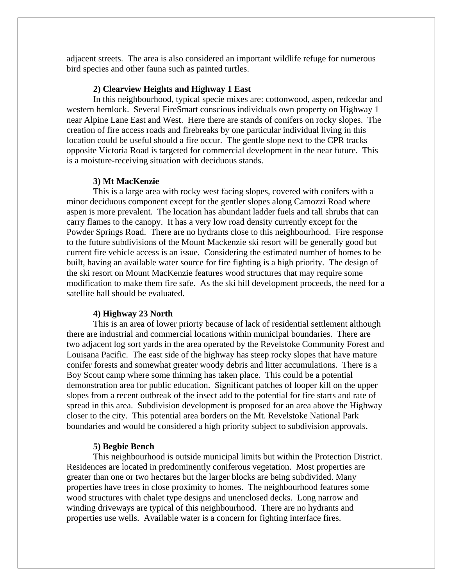adjacent streets. The area is also considered an important wildlife refuge for numerous bird species and other fauna such as painted turtles.

### **2) Clearview Heights and Highway 1 East**

In this neighbourhood, typical specie mixes are: cottonwood, aspen, redcedar and western hemlock. Several FireSmart conscious individuals own property on Highway 1 near Alpine Lane East and West. Here there are stands of conifers on rocky slopes. The creation of fire access roads and firebreaks by one particular individual living in this location could be useful should a fire occur. The gentle slope next to the CPR tracks opposite Victoria Road is targeted for commercial development in the near future. This is a moisture-receiving situation with deciduous stands.

#### **3) Mt MacKenzie**

This is a large area with rocky west facing slopes, covered with conifers with a minor deciduous component except for the gentler slopes along Camozzi Road where aspen is more prevalent. The location has abundant ladder fuels and tall shrubs that can carry flames to the canopy. It has a very low road density currently except for the Powder Springs Road. There are no hydrants close to this neighbourhood. Fire response to the future subdivisions of the Mount Mackenzie ski resort will be generally good but current fire vehicle access is an issue. Considering the estimated number of homes to be built, having an available water source for fire fighting is a high priority. The design of the ski resort on Mount MacKenzie features wood structures that may require some modification to make them fire safe. As the ski hill development proceeds, the need for a satellite hall should be evaluated.

#### **4) Highway 23 North**

This is an area of lower priorty because of lack of residential settlement although there are industrial and commercial locations within municipal boundaries. There are two adjacent log sort yards in the area operated by the Revelstoke Community Forest and Louisana Pacific. The east side of the highway has steep rocky slopes that have mature conifer forests and somewhat greater woody debris and litter accumulations. There is a Boy Scout camp where some thinning has taken place. This could be a potential demonstration area for public education. Significant patches of looper kill on the upper slopes from a recent outbreak of the insect add to the potential for fire starts and rate of spread in this area. Subdivision development is proposed for an area above the Highway closer to the city. This potential area borders on the Mt. Revelstoke National Park boundaries and would be considered a high priority subject to subdivision approvals.

#### **5) Begbie Bench**

This neighbourhood is outside municipal limits but within the Protection District. Residences are located in predominently coniferous vegetation. Most properties are greater than one or two hectares but the larger blocks are being subdivided. Many properties have trees in close proximity to homes. The neighbourhood features some wood structures with chalet type designs and unenclosed decks. Long narrow and winding driveways are typical of this neighbourhood. There are no hydrants and properties use wells. Available water is a concern for fighting interface fires.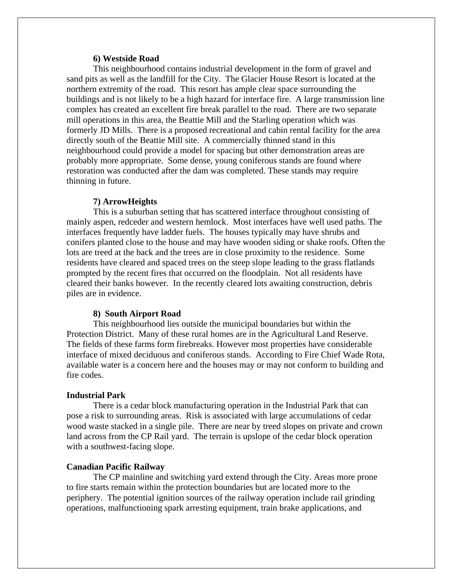### **6) Westside Road**

This neighbourhood contains industrial development in the form of gravel and sand pits as well as the landfill for the City. The Glacier House Resort is located at the northern extremity of the road. This resort has ample clear space surrounding the buildings and is not likely to be a high hazard for interface fire. A large transmission line complex has created an excellent fire break parallel to the road. There are two separate mill operations in this area, the Beattie Mill and the Starling operation which was formerly JD Mills. There is a proposed recreational and cabin rental facility for the area directly south of the Beattie Mill site. A commercially thinned stand in this neighbourhood could provide a model for spacing but other demonstration areas are probably more appropriate. Some dense, young coniferous stands are found where restoration was conducted after the dam was completed. These stands may require thinning in future.

#### **7) ArrowHeights**

This is a suburban setting that has scattered interface throughout consisting of mainly aspen, redceder and western hemlock. Most interfaces have well used paths. The interfaces frequently have ladder fuels. The houses typically may have shrubs and conifers planted close to the house and may have wooden siding or shake roofs. Often the lots are treed at the back and the trees are in close proximity to the residence. Some residents have cleared and spaced trees on the steep slope leading to the grass flatlands prompted by the recent fires that occurred on the floodplain. Not all residents have cleared their banks however. In the recently cleared lots awaiting construction, debris piles are in evidence.

#### **8) South Airport Road**

 This neighbourhood lies outside the municipal boundaries but within the Protection District. Many of these rural homes are in the Agricultural Land Reserve. The fields of these farms form firebreaks. However most properties have considerable interface of mixed deciduous and coniferous stands. According to Fire Chief Wade Rota, available water is a concern here and the houses may or may not conform to building and fire codes.

#### **Industrial Park**

 There is a cedar block manufacturing operation in the Industrial Park that can pose a risk to surrounding areas. Risk is associated with large accumulations of cedar wood waste stacked in a single pile. There are near by treed slopes on private and crown land across from the CP Rail yard. The terrain is upslope of the cedar block operation with a southwest-facing slope.

#### **Canadian Pacific Railway**

The CP mainline and switching yard extend through the City. Areas more prone to fire starts remain within the protection boundaries but are located more to the periphery. The potential ignition sources of the railway operation include rail grinding operations, malfunctioning spark arresting equipment, train brake applications, and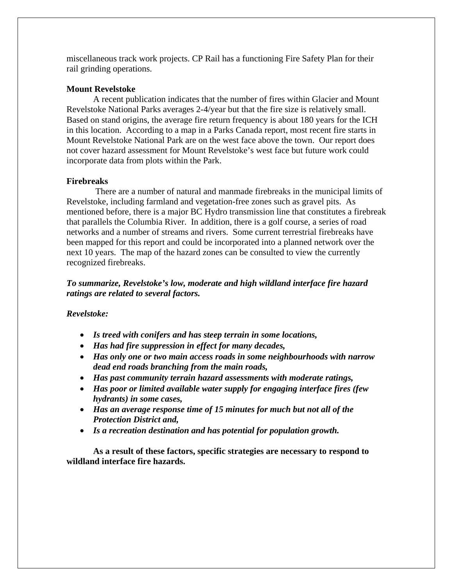miscellaneous track work projects. CP Rail has a functioning Fire Safety Plan for their rail grinding operations.

## **Mount Revelstoke**

A recent publication indicates that the number of fires within Glacier and Mount Revelstoke National Parks averages 2-4/year but that the fire size is relatively small. Based on stand origins, the average fire return frequency is about 180 years for the ICH in this location. According to a map in a Parks Canada report, most recent fire starts in Mount Revelstoke National Park are on the west face above the town. Our report does not cover hazard assessment for Mount Revelstoke's west face but future work could incorporate data from plots within the Park.

## **Firebreaks**

 There are a number of natural and manmade firebreaks in the municipal limits of Revelstoke, including farmland and vegetation-free zones such as gravel pits. As mentioned before, there is a major BC Hydro transmission line that constitutes a firebreak that parallels the Columbia River. In addition, there is a golf course, a series of road networks and a number of streams and rivers. Some current terrestrial firebreaks have been mapped for this report and could be incorporated into a planned network over the next 10 years. The map of the hazard zones can be consulted to view the currently recognized firebreaks.

## *To summarize, Revelstoke's low, moderate and high wildland interface fire hazard ratings are related to several factors.*

## *Revelstoke:*

- *Is treed with conifers and has steep terrain in some locations,*
- *Has had fire suppression in effect for many decades,*
- *Has only one or two main access roads in some neighbourhoods with narrow dead end roads branching from the main roads,*
- *Has past community terrain hazard assessments with moderate ratings,*
- *Has poor or limited available water supply for engaging interface fires (few hydrants) in some cases,*
- *Has an average response time of 15 minutes for much but not all of the Protection District and,*
- *Is a recreation destination and has potential for population growth.*

**As a result of these factors, specific strategies are necessary to respond to wildland interface fire hazards.**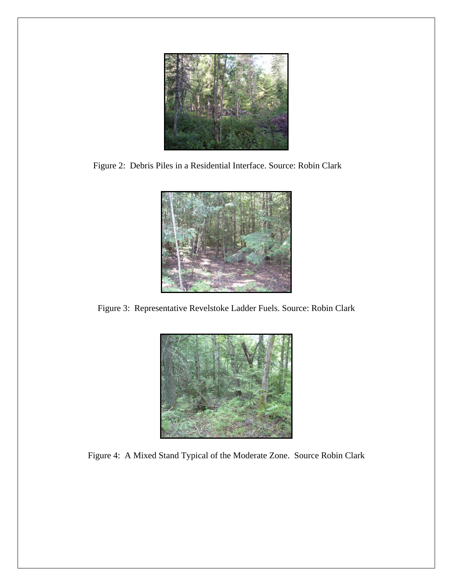

Figure 2: Debris Piles in a Residential Interface. Source: Robin Clark



Figure 3: Representative Revelstoke Ladder Fuels. Source: Robin Clark



Figure 4: A Mixed Stand Typical of the Moderate Zone. Source Robin Clark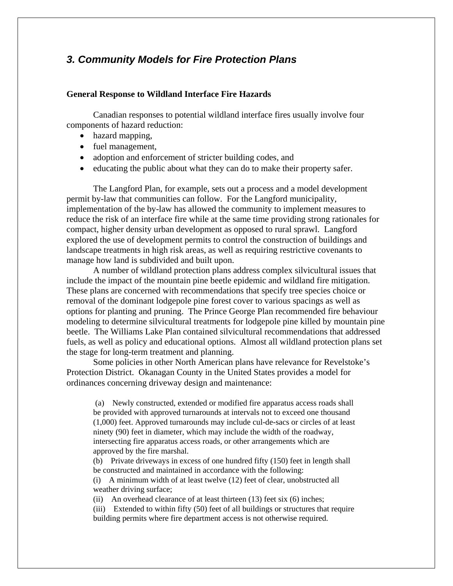## *3. Community Models for Fire Protection Plans*

#### **General Response to Wildland Interface Fire Hazards**

Canadian responses to potential wildland interface fires usually involve four components of hazard reduction:

- hazard mapping,
- fuel management,
- adoption and enforcement of stricter building codes, and
- educating the public about what they can do to make their property safer.

 The Langford Plan, for example, sets out a process and a model development permit by-law that communities can follow. For the Langford municipality, implementation of the by-law has allowed the community to implement measures to reduce the risk of an interface fire while at the same time providing strong rationales for compact, higher density urban development as opposed to rural sprawl. Langford explored the use of development permits to control the construction of buildings and landscape treatments in high risk areas, as well as requiring restrictive covenants to manage how land is subdivided and built upon.

A number of wildland protection plans address complex silvicultural issues that include the impact of the mountain pine beetle epidemic and wildland fire mitigation. These plans are concerned with recommendations that specify tree species choice or removal of the dominant lodgepole pine forest cover to various spacings as well as options for planting and pruning. The Prince George Plan recommended fire behaviour modeling to determine silvicultural treatments for lodgepole pine killed by mountain pine beetle. The Williams Lake Plan contained silvicultural recommendations that addressed fuels, as well as policy and educational options. Almost all wildland protection plans set the stage for long-term treatment and planning.

Some policies in other North American plans have relevance for Revelstoke's Protection District. Okanagan County in the United States provides a model for ordinances concerning driveway design and maintenance:

 (a) Newly constructed, extended or modified fire apparatus access roads shall be provided with approved turnarounds at intervals not to exceed one thousand (1,000) feet. Approved turnarounds may include cul-de-sacs or circles of at least ninety (90) feet in diameter, which may include the width of the roadway, intersecting fire apparatus access roads, or other arrangements which are approved by the fire marshal.

(b) Private driveways in excess of one hundred fifty (150) feet in length shall be constructed and maintained in accordance with the following:

(i) A minimum width of at least twelve (12) feet of clear, unobstructed all weather driving surface;

(ii) An overhead clearance of at least thirteen  $(13)$  feet six  $(6)$  inches;

(iii) Extended to within fifty (50) feet of all buildings or structures that require building permits where fire department access is not otherwise required.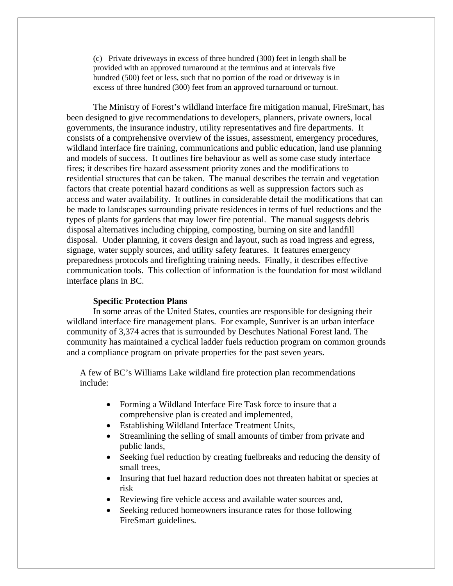(c) Private driveways in excess of three hundred (300) feet in length shall be provided with an approved turnaround at the terminus and at intervals five hundred (500) feet or less, such that no portion of the road or driveway is in excess of three hundred (300) feet from an approved turnaround or turnout.

 The Ministry of Forest's wildland interface fire mitigation manual, FireSmart, has been designed to give recommendations to developers, planners, private owners, local governments, the insurance industry, utility representatives and fire departments. It consists of a comprehensive overview of the issues, assessment, emergency procedures, wildland interface fire training, communications and public education, land use planning and models of success. It outlines fire behaviour as well as some case study interface fires; it describes fire hazard assessment priority zones and the modifications to residential structures that can be taken. The manual describes the terrain and vegetation factors that create potential hazard conditions as well as suppression factors such as access and water availability. It outlines in considerable detail the modifications that can be made to landscapes surrounding private residences in terms of fuel reductions and the types of plants for gardens that may lower fire potential. The manual suggests debris disposal alternatives including chipping, composting, burning on site and landfill disposal. Under planning, it covers design and layout, such as road ingress and egress, signage, water supply sources, and utility safety features. It features emergency preparedness protocols and firefighting training needs. Finally, it describes effective communication tools. This collection of information is the foundation for most wildland interface plans in BC.

#### **Specific Protection Plans**

In some areas of the United States, counties are responsible for designing their wildland interface fire management plans. For example, Sunriver is an urban interface community of 3,374 acres that is surrounded by Deschutes National Forest land. The community has maintained a cyclical ladder fuels reduction program on common grounds and a compliance program on private properties for the past seven years.

A few of BC's Williams Lake wildland fire protection plan recommendations include:

- Forming a Wildland Interface Fire Task force to insure that a comprehensive plan is created and implemented,
- Establishing Wildland Interface Treatment Units,
- Streamlining the selling of small amounts of timber from private and public lands,
- Seeking fuel reduction by creating fuelbreaks and reducing the density of small trees,
- Insuring that fuel hazard reduction does not threaten habitat or species at risk
- Reviewing fire vehicle access and available water sources and,
- Seeking reduced homeowners insurance rates for those following FireSmart guidelines.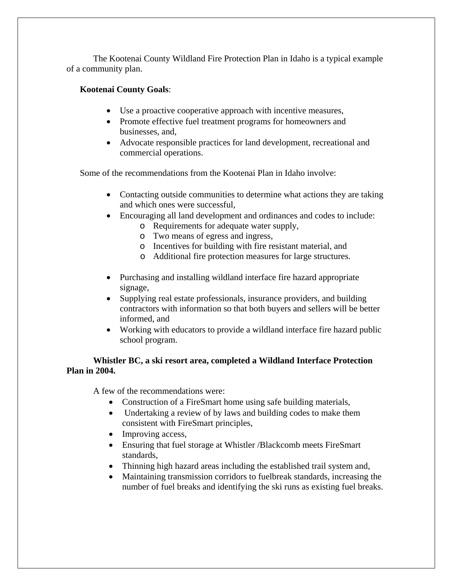The Kootenai County Wildland Fire Protection Plan in Idaho is a typical example of a community plan.

## **Kootenai County Goals**:

- Use a proactive cooperative approach with incentive measures,
- Promote effective fuel treatment programs for homeowners and businesses, and,
- Advocate responsible practices for land development, recreational and commercial operations.

Some of the recommendations from the Kootenai Plan in Idaho involve:

- Contacting outside communities to determine what actions they are taking and which ones were successful,
- Encouraging all land development and ordinances and codes to include:
	- o Requirements for adequate water supply,
	- o Two means of egress and ingress,
	- o Incentives for building with fire resistant material, and
	- o Additional fire protection measures for large structures.
- Purchasing and installing wildland interface fire hazard appropriate signage,
- Supplying real estate professionals, insurance providers, and building contractors with information so that both buyers and sellers will be better informed, and
- Working with educators to provide a wildland interface fire hazard public school program.

## **Whistler BC, a ski resort area, completed a Wildland Interface Protection Plan in 2004.**

A few of the recommendations were:

- Construction of a FireSmart home using safe building materials,
- Undertaking a review of by laws and building codes to make them consistent with FireSmart principles,
- Improving access,
- Ensuring that fuel storage at Whistler /Blackcomb meets FireSmart standards,
- Thinning high hazard areas including the established trail system and,
- Maintaining transmission corridors to fuelbreak standards, increasing the number of fuel breaks and identifying the ski runs as existing fuel breaks.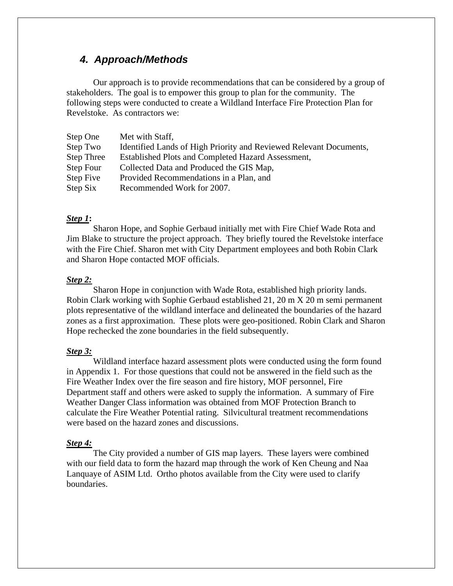## *4. Approach/Methods*

Our approach is to provide recommendations that can be considered by a group of stakeholders. The goal is to empower this group to plan for the community. The following steps were conducted to create a Wildland Interface Fire Protection Plan for Revelstoke. As contractors we:

| Step One          | Met with Staff,                                                    |
|-------------------|--------------------------------------------------------------------|
| Step Two          | Identified Lands of High Priority and Reviewed Relevant Documents, |
| <b>Step Three</b> | Established Plots and Completed Hazard Assessment,                 |
| Step Four         | Collected Data and Produced the GIS Map,                           |
| Step Five         | Provided Recommendations in a Plan, and                            |
| Step Six          | Recommended Work for 2007.                                         |

## *Step 1***:**

Sharon Hope, and Sophie Gerbaud initially met with Fire Chief Wade Rota and Jim Blake to structure the project approach. They briefly toured the Revelstoke interface with the Fire Chief. Sharon met with City Department employees and both Robin Clark and Sharon Hope contacted MOF officials.

#### *Step 2:*

Sharon Hope in conjunction with Wade Rota, established high priority lands. Robin Clark working with Sophie Gerbaud established 21, 20 m X 20 m semi permanent plots representative of the wildland interface and delineated the boundaries of the hazard zones as a first approximation. These plots were geo-positioned. Robin Clark and Sharon Hope rechecked the zone boundaries in the field subsequently.

#### *Step 3:*

Wildland interface hazard assessment plots were conducted using the form found in Appendix 1. For those questions that could not be answered in the field such as the Fire Weather Index over the fire season and fire history, MOF personnel, Fire Department staff and others were asked to supply the information. A summary of Fire Weather Danger Class information was obtained from MOF Protection Branch to calculate the Fire Weather Potential rating. Silvicultural treatment recommendations were based on the hazard zones and discussions.

#### *Step 4:*

The City provided a number of GIS map layers. These layers were combined with our field data to form the hazard map through the work of Ken Cheung and Naa Lanquaye of ASIM Ltd. Ortho photos available from the City were used to clarify boundaries.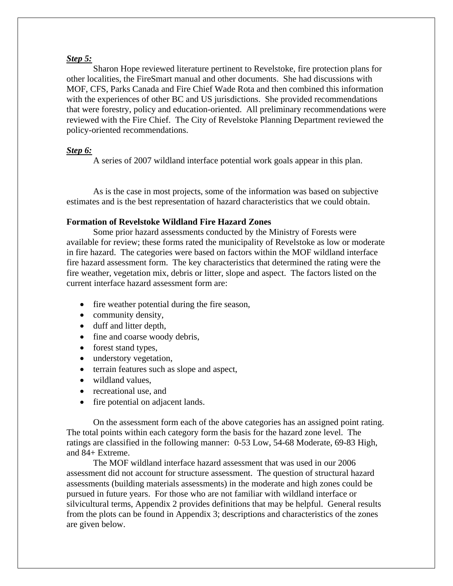#### *Step 5:*

Sharon Hope reviewed literature pertinent to Revelstoke, fire protection plans for other localities, the FireSmart manual and other documents. She had discussions with MOF, CFS, Parks Canada and Fire Chief Wade Rota and then combined this information with the experiences of other BC and US jurisdictions. She provided recommendations that were forestry, policy and education-oriented. All preliminary recommendations were reviewed with the Fire Chief. The City of Revelstoke Planning Department reviewed the policy-oriented recommendations.

### *Step 6:*

A series of 2007 wildland interface potential work goals appear in this plan.

As is the case in most projects, some of the information was based on subjective estimates and is the best representation of hazard characteristics that we could obtain.

## **Formation of Revelstoke Wildland Fire Hazard Zones**

Some prior hazard assessments conducted by the Ministry of Forests were available for review; these forms rated the municipality of Revelstoke as low or moderate in fire hazard. The categories were based on factors within the MOF wildland interface fire hazard assessment form. The key characteristics that determined the rating were the fire weather, vegetation mix, debris or litter, slope and aspect. The factors listed on the current interface hazard assessment form are:

- fire weather potential during the fire season,
- community density,
- duff and litter depth,
- fine and coarse woody debris,
- forest stand types,
- understory vegetation,
- terrain features such as slope and aspect,
- wildland values.
- recreational use, and
- fire potential on adjacent lands.

On the assessment form each of the above categories has an assigned point rating. The total points within each category form the basis for the hazard zone level. The ratings are classified in the following manner: 0-53 Low, 54-68 Moderate, 69-83 High, and 84+ Extreme.

The MOF wildland interface hazard assessment that was used in our 2006 assessment did not account for structure assessment. The question of structural hazard assessments (building materials assessments) in the moderate and high zones could be pursued in future years. For those who are not familiar with wildland interface or silvicultural terms, Appendix 2 provides definitions that may be helpful. General results from the plots can be found in Appendix 3; descriptions and characteristics of the zones are given below.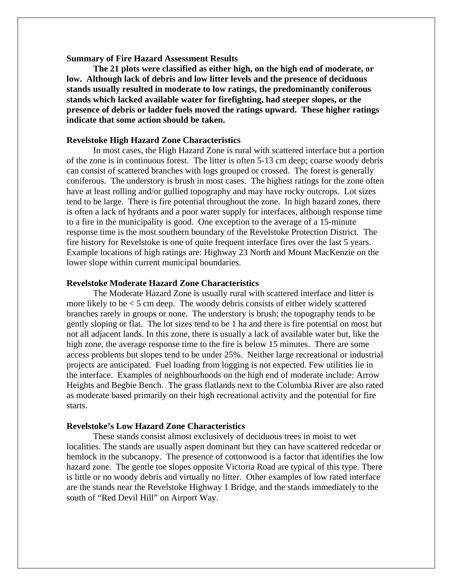**Summary of Fire Hazard Assessment Results** 

 **The 21 plots were classified as either high, on the high end of moderate, or low. Although lack of debris and low litter levels and the presence of deciduous stands usually resulted in moderate to low ratings, the predominantly coniferous stands which lacked available water for firefighting, had steeper slopes, or the presence of debris or ladder fuels moved the ratings upward. These higher ratings indicate that some action should be taken.** 

## **Revelstoke High Hazard Zone Characteristics**

In most cases, the High Hazard Zone is rural with scattered interface but a portion of the zone is in continuous forest. The litter is often 5-13 cm deep; coarse woody debris can consist of scattered branches with logs grouped or crossed. The forest is generally coniferous. The understory is brush in most cases. The highest ratings for the zone often have at least rolling and/or gullied topography and may have rocky outcrops. Lot sizes tend to be large. There is fire potential throughout the zone. In high hazard zones, there is often a lack of hydrants and a poor water supply for interfaces, although response time to a fire in the municipality is good. One exception to the average of a 15-minute response time is the most southern boundary of the Revelstoke Protection District. The fire history for Revelstoke is one of quite frequent interface fires over the last 5 years. Example locations of high ratings are: Highway 23 North and Mount MacKenzie on the lower slope within current municipal boundaries.

#### **Revelstoke Moderate Hazard Zone Characteristics**

The Moderate Hazard Zone is usually rural with scattered interface and litter is more likely to be  $<$  5 cm deep. The woody debris consists of either widely scattered branches rarely in groups or none. The understory is brush; the topography tends to be gently sloping or flat. The lot sizes tend to be 1 ha and there is fire potential on most but not all adjacent lands. In this zone, there is usually a lack of available water but, like the high zone, the average response time to the fire is below 15 minutes. There are some access problems but slopes tend to be under 25%. Neither large recreational or industrial projects are anticipated. Fuel loading from logging is not expected. Few utilities lie in the interface. Examples of neighbourhoods on the high end of moderate include: Arrow Heights and Begbie Bench. The grass flatlands next to the Columbia River are also rated as moderate based primarily on their high recreational activity and the potential for fire starts.

#### **Revelstoke's Low Hazard Zone Characteristics**

These stands consist almost exclusively of deciduous trees in moist to wet localities. The stands are usually aspen dominant but they can have scattered redcedar or hemlock in the subcanopy. The presence of cottonwood is a factor that identifies the low hazard zone. The gentle toe slopes opposite Victoria Road are typical of this type. There is little or no woody debris and virtually no litter. Other examples of low rated interface are the stands near the Revelstoke Highway 1 Bridge, and the stands immediately to the south of "Red Devil Hill" on Airport Way.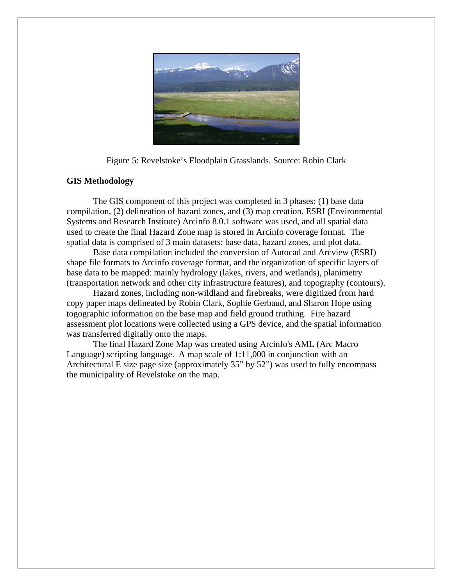

Figure 5: Revelstoke's Floodplain Grasslands. Source: Robin Clark

## **GIS Methodology**

The GIS component of this project was completed in 3 phases: (1) base data compilation, (2) delineation of hazard zones, and (3) map creation. ESRI (Environmental Systems and Research Institute) Arcinfo 8.0.1 software was used, and all spatial data used to create the final Hazard Zone map is stored in Arcinfo coverage format. The spatial data is comprised of 3 main datasets: base data, hazard zones, and plot data.

Base data compilation included the conversion of Autocad and Arcview (ESRI) shape file formats to Arcinfo coverage format, and the organization of specific layers of base data to be mapped: mainly hydrology (lakes, rivers, and wetlands), planimetry (transportation network and other city infrastructure features), and topography (contours).

Hazard zones, including non-wildland and firebreaks, were digitized from hard copy paper maps delineated by Robin Clark, Sophie Gerbaud, and Sharon Hope using togographic information on the base map and field ground truthing. Fire hazard assessment plot locations were collected using a GPS device, and the spatial information was transferred digitally onto the maps.

 The final Hazard Zone Map was created using Arcinfo's AML (Arc Macro Language) scripting language. A map scale of 1:11,000 in conjunction with an Architectural E size page size (approximately 35" by 52") was used to fully encompass the municipality of Revelstoke on the map.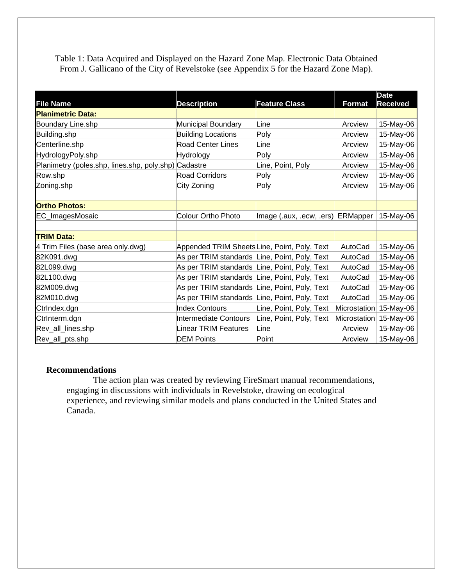Table 1: Data Acquired and Displayed on the Hazard Zone Map. Electronic Data Obtained From J. Gallicano of the City of Revelstoke (see Appendix 5 for the Hazard Zone Map).

| <b>File Name</b>                                     | <b>Description</b>                            | <b>Feature Class</b>              | <b>Format</b> | <b>Date</b><br><b>Received</b> |
|------------------------------------------------------|-----------------------------------------------|-----------------------------------|---------------|--------------------------------|
| <b>Planimetric Data:</b>                             |                                               |                                   |               |                                |
| Boundary Line.shp                                    | Municipal Boundary                            | Line                              | Arcview       | 15-May-06                      |
| Building.shp                                         | <b>Building Locations</b>                     | Poly                              | Arcview       | 15-May-06                      |
| Centerline.shp                                       | <b>Road Center Lines</b>                      | Line                              | Arcview       | 15-May-06                      |
| HydrologyPoly.shp                                    | Hydrology                                     | Poly                              | Arcview       | 15-May-06                      |
| Planimetry (poles.shp, lines.shp, poly.shp) Cadastre |                                               | Line, Point, Poly                 | Arcview       | 15-May-06                      |
| Row.shp                                              | <b>Road Corridors</b>                         | Poly                              | Arcview       | 15-May-06                      |
| Zoning.shp                                           | City Zoning                                   | Poly                              | Arcview       | 15-May-06                      |
|                                                      |                                               |                                   |               |                                |
| <b>Ortho Photos:</b>                                 |                                               |                                   |               |                                |
| EC_ImagesMosaic                                      | <b>Colour Ortho Photo</b>                     | Image (.aux, .ecw, .ers) ERMapper |               | 15-May-06                      |
|                                                      |                                               |                                   |               |                                |
| <b>TRIM Data:</b>                                    |                                               |                                   |               |                                |
| 4 Trim Files (base area only.dwg)                    | Appended TRIM SheetsLine, Point, Poly, Text   |                                   | AutoCad       | 15-May-06                      |
| 82K091.dwg                                           | As per TRIM standards Line, Point, Poly, Text |                                   | AutoCad       | 15-May-06                      |
| 82L099.dwg                                           | As per TRIM standards Line, Point, Poly, Text |                                   | AutoCad       | 15-May-06                      |
| 82L100.dwg                                           | As per TRIM standards Line, Point, Poly, Text |                                   | AutoCad       | 15-May-06                      |
| 82M009.dwg                                           | As per TRIM standards Line, Point, Poly, Text |                                   | AutoCad       | 15-May-06                      |
| 82M010.dwg                                           | As per TRIM standards Line, Point, Poly, Text |                                   | AutoCad       | 15-May-06                      |
| Ctrindex.dgn                                         | <b>Index Contours</b>                         | Line, Point, Poly, Text           | Microstation  | 15-May-06                      |
| Ctrinterm.dgn                                        | <b>Intermediate Contours</b>                  | Line, Point, Poly, Text           | Microstation  | 15-May-06                      |
| Rev_all_lines.shp                                    | <b>Linear TRIM Features</b>                   | Line                              | Arcview       | 15-May-06                      |
| Rev_all_pts.shp                                      | <b>DEM Points</b>                             | Point                             | Arcview       | 15-May-06                      |

#### **Recommendations**

The action plan was created by reviewing FireSmart manual recommendations, engaging in discussions with individuals in Revelstoke, drawing on ecological experience, and reviewing similar models and plans conducted in the United States and Canada.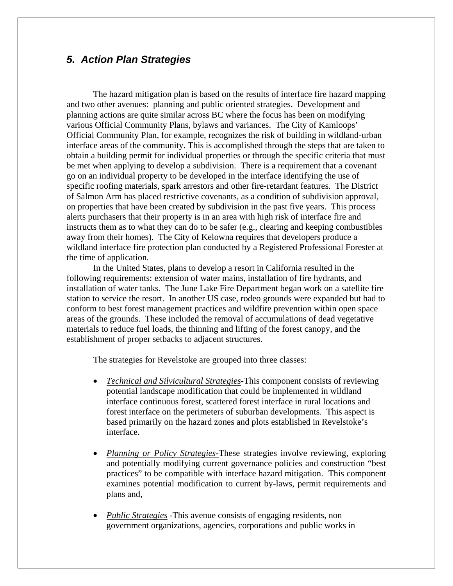## *5. Action Plan Strategies*

The hazard mitigation plan is based on the results of interface fire hazard mapping and two other avenues: planning and public oriented strategies. Development and planning actions are quite similar across BC where the focus has been on modifying various Official Community Plans, bylaws and variances. The City of Kamloops' Official Community Plan, for example, recognizes the risk of building in wildland-urban interface areas of the community. This is accomplished through the steps that are taken to obtain a building permit for individual properties or through the specific criteria that must be met when applying to develop a subdivision. There is a requirement that a covenant go on an individual property to be developed in the interface identifying the use of specific roofing materials, spark arrestors and other fire-retardant features. The District of Salmon Arm has placed restrictive covenants, as a condition of subdivision approval, on properties that have been created by subdivision in the past five years. This process alerts purchasers that their property is in an area with high risk of interface fire and instructs them as to what they can do to be safer (e.g., clearing and keeping combustibles away from their homes). The City of Kelowna requires that developers produce a wildland interface fire protection plan conducted by a Registered Professional Forester at the time of application.

In the United States, plans to develop a resort in California resulted in the following requirements: extension of water mains, installation of fire hydrants, and installation of water tanks. The June Lake Fire Department began work on a satellite fire station to service the resort. In another US case, rodeo grounds were expanded but had to conform to best forest management practices and wildfire prevention within open space areas of the grounds. These included the removal of accumulations of dead vegetative materials to reduce fuel loads, the thinning and lifting of the forest canopy, and the establishment of proper setbacks to adjacent structures.

The strategies for Revelstoke are grouped into three classes:

- *Technical and Silvicultural Strategies-*This component consists of reviewing potential landscape modification that could be implemented in wildland interface continuous forest, scattered forest interface in rural locations and forest interface on the perimeters of suburban developments. This aspect is based primarily on the hazard zones and plots established in Revelstoke's interface.
- *Planning or Policy Strategies*-These strategies involve reviewing, exploring and potentially modifying current governance policies and construction "best practices" to be compatible with interface hazard mitigation. This component examines potential modification to current by-laws, permit requirements and plans and,
- *Public Strategies* -This avenue consists of engaging residents, non government organizations, agencies, corporations and public works in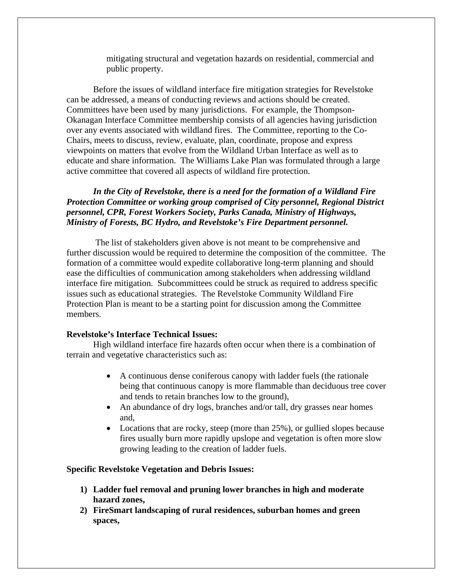mitigating structural and vegetation hazards on residential, commercial and public property.

Before the issues of wildland interface fire mitigation strategies for Revelstoke can be addressed, a means of conducting reviews and actions should be created. Committees have been used by many jurisdictions. For example, the Thompson-Okanagan Interface Committee membership consists of all agencies having jurisdiction over any events associated with wildland fires. The Committee, reporting to the Co-Chairs, meets to discuss, review, evaluate, plan, coordinate, propose and express viewpoints on matters that evolve from the Wildland Urban Interface as well as to educate and share information. The Williams Lake Plan was formulated through a large active committee that covered all aspects of wildland fire protection.

*In the City of Revelstoke, there is a need for the formation of a Wildland Fire Protection Committee or working group comprised of City personnel, Regional District personnel, CPR, Forest Workers Society, Parks Canada, Ministry of Highways, Ministry of Forests, BC Hydro, and Revelstoke's Fire Department personnel.* 

The list of stakeholders given above is not meant to be comprehensive and further discussion would be required to determine the composition of the committee. The formation of a committee would expedite collaborative long-term planning and should ease the difficulties of communication among stakeholders when addressing wildland interface fire mitigation. Subcommittees could be struck as required to address specific issues such as educational strategies. The Revelstoke Community Wildland Fire Protection Plan is meant to be a starting point for discussion among the Committee members.

### **Revelstoke's Interface Technical Issues:**

High wildland interface fire hazards often occur when there is a combination of terrain and vegetative characteristics such as:

- A continuous dense coniferous canopy with ladder fuels (the rationale being that continuous canopy is more flammable than deciduous tree cover and tends to retain branches low to the ground),
- An abundance of dry logs, branches and/or tall, dry grasses near homes and,
- Locations that are rocky, steep (more than 25%), or guilied slopes because fires usually burn more rapidly upslope and vegetation is often more slow growing leading to the creation of ladder fuels.

### **Specific Revelstoke Vegetation and Debris Issues:**

- **1) Ladder fuel removal and pruning lower branches in high and moderate hazard zones,**
- **2) FireSmart landscaping of rural residences, suburban homes and green spaces,**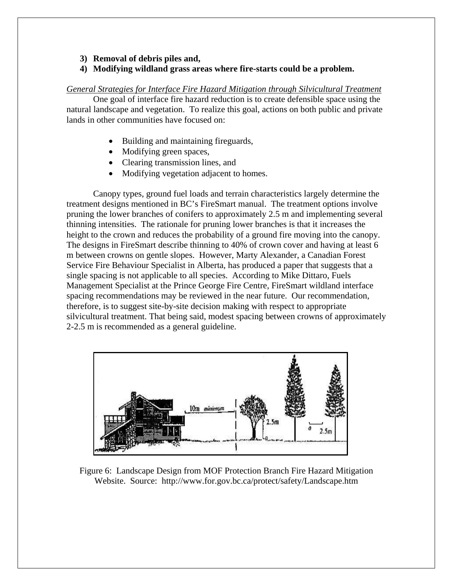#### **3) Removal of debris piles and,**

### **4) Modifying wildland grass areas where fire-starts could be a problem.**

#### *General Strategies for Interface Fire Hazard Mitigation through Silvicultural Treatment*

One goal of interface fire hazard reduction is to create defensible space using the natural landscape and vegetation. To realize this goal, actions on both public and private lands in other communities have focused on:

- Building and maintaining fireguards,
- Modifying green spaces,
- Clearing transmission lines, and
- Modifying vegetation adjacent to homes.

Canopy types, ground fuel loads and terrain characteristics largely determine the treatment designs mentioned in BC's FireSmart manual. The treatment options involve pruning the lower branches of conifers to approximately 2.5 m and implementing several thinning intensities. The rationale for pruning lower branches is that it increases the height to the crown and reduces the probability of a ground fire moving into the canopy. The designs in FireSmart describe thinning to 40% of crown cover and having at least 6 m between crowns on gentle slopes. However, Marty Alexander, a Canadian Forest Service Fire Behaviour Specialist in Alberta, has produced a paper that suggests that a single spacing is not applicable to all species. According to Mike Dittaro, Fuels Management Specialist at the Prince George Fire Centre, FireSmart wildland interface spacing recommendations may be reviewed in the near future. Our recommendation, therefore, is to suggest site-by-site decision making with respect to appropriate silvicultural treatment. That being said, modest spacing between crowns of approximately 2-2.5 m is recommended as a general guideline.



Figure 6: Landscape Design from MOF Protection Branch Fire Hazard Mitigation Website. Source: http://www.for.gov.bc.ca/protect/safety/Landscape.htm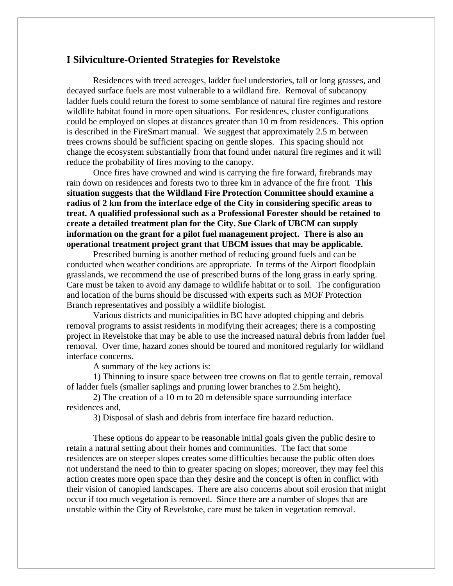## **I Silviculture-Oriented Strategies for Revelstoke**

Residences with treed acreages, ladder fuel understories, tall or long grasses, and decayed surface fuels are most vulnerable to a wildland fire. Removal of subcanopy ladder fuels could return the forest to some semblance of natural fire regimes and restore wildlife habitat found in more open situations. For residences, cluster configurations could be employed on slopes at distances greater than 10 m from residences. This option is described in the FireSmart manual. We suggest that approximately 2.5 m between trees crowns should be sufficient spacing on gentle slopes. This spacing should not change the ecosystem substantially from that found under natural fire regimes and it will reduce the probability of fires moving to the canopy.

Once fires have crowned and wind is carrying the fire forward, firebrands may rain down on residences and forests two to three km in advance of the fire front. **This situation suggests that the Wildland Fire Protection Committee should examine a radius of 2 km from the interface edge of the City in considering specific areas to treat. A qualified professional such as a Professional Forester should be retained to create a detailed treatment plan for the City. Sue Clark of UBCM can supply information on the grant for a pilot fuel management project. There is also an operational treatment project grant that UBCM issues that may be applicable.** 

Prescribed burning is another method of reducing ground fuels and can be conducted when weather conditions are appropriate. In terms of the Airport floodplain grasslands, we recommend the use of prescribed burns of the long grass in early spring. Care must be taken to avoid any damage to wildlife habitat or to soil. The configuration and location of the burns should be discussed with experts such as MOF Protection Branch representatives and possibly a wildlife biologist.

Various districts and municipalities in BC have adopted chipping and debris removal programs to assist residents in modifying their acreages; there is a composting project in Revelstoke that may be able to use the increased natural debris from ladder fuel removal. Over time, hazard zones should be toured and monitored regularly for wildland interface concerns.

A summary of the key actions is:

1) Thinning to insure space between tree crowns on flat to gentle terrain, removal of ladder fuels (smaller saplings and pruning lower branches to 2.5m height),

2) The creation of a 10 m to 20 m defensible space surrounding interface residences and,

3) Disposal of slash and debris from interface fire hazard reduction.

These options do appear to be reasonable initial goals given the public desire to retain a natural setting about their homes and communities. The fact that some residences are on steeper slopes creates some difficulties because the public often does not understand the need to thin to greater spacing on slopes; moreover, they may feel this action creates more open space than they desire and the concept is often in conflict with their vision of canopied landscapes. There are also concerns about soil erosion that might occur if too much vegetation is removed. Since there are a number of slopes that are unstable within the City of Revelstoke, care must be taken in vegetation removal.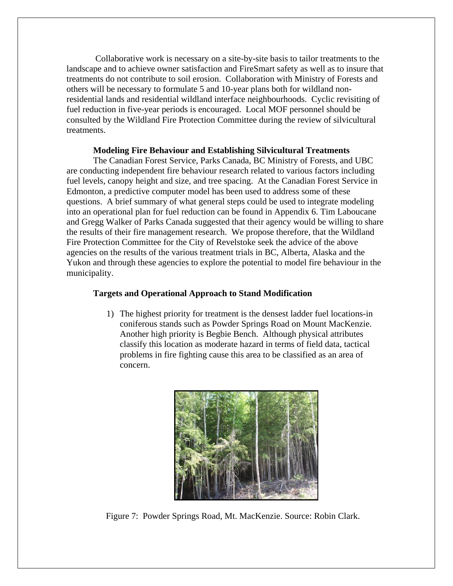Collaborative work is necessary on a site-by-site basis to tailor treatments to the landscape and to achieve owner satisfaction and FireSmart safety as well as to insure that treatments do not contribute to soil erosion. Collaboration with Ministry of Forests and others will be necessary to formulate 5 and 10-year plans both for wildland nonresidential lands and residential wildland interface neighbourhoods. Cyclic revisiting of fuel reduction in five-year periods is encouraged. Local MOF personnel should be consulted by the Wildland Fire Protection Committee during the review of silvicultural treatments.

#### **Modeling Fire Behaviour and Establishing Silvicultural Treatments**

The Canadian Forest Service, Parks Canada, BC Ministry of Forests, and UBC are conducting independent fire behaviour research related to various factors including fuel levels, canopy height and size, and tree spacing. At the Canadian Forest Service in Edmonton, a predictive computer model has been used to address some of these questions. A brief summary of what general steps could be used to integrate modeling into an operational plan for fuel reduction can be found in Appendix 6. Tim Laboucane and Gregg Walker of Parks Canada suggested that their agency would be willing to share the results of their fire management research. We propose therefore, that the Wildland Fire Protection Committee for the City of Revelstoke seek the advice of the above agencies on the results of the various treatment trials in BC, Alberta, Alaska and the Yukon and through these agencies to explore the potential to model fire behaviour in the municipality.

#### **Targets and Operational Approach to Stand Modification**

1) The highest priority for treatment is the densest ladder fuel locations-in coniferous stands such as Powder Springs Road on Mount MacKenzie. Another high priority is Begbie Bench. Although physical attributes classify this location as moderate hazard in terms of field data, tactical problems in fire fighting cause this area to be classified as an area of concern.



Figure 7: Powder Springs Road, Mt. MacKenzie. Source: Robin Clark.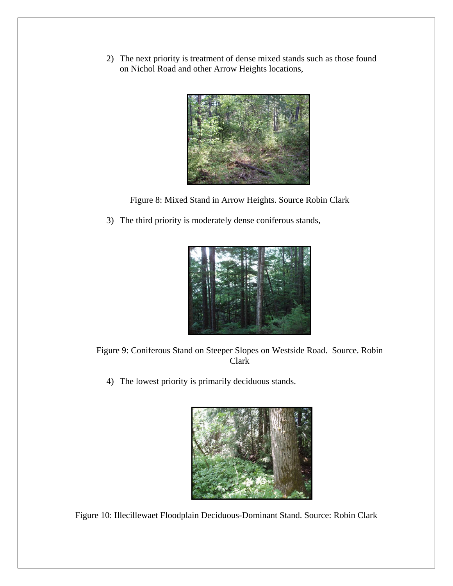2) The next priority is treatment of dense mixed stands such as those found on Nichol Road and other Arrow Heights locations,



Figure 8: Mixed Stand in Arrow Heights. Source Robin Clark

3) The third priority is moderately dense coniferous stands,



Figure 9: Coniferous Stand on Steeper Slopes on Westside Road. Source. Robin Clark

4) The lowest priority is primarily deciduous stands.



Figure 10: Illecillewaet Floodplain Deciduous-Dominant Stand. Source: Robin Clark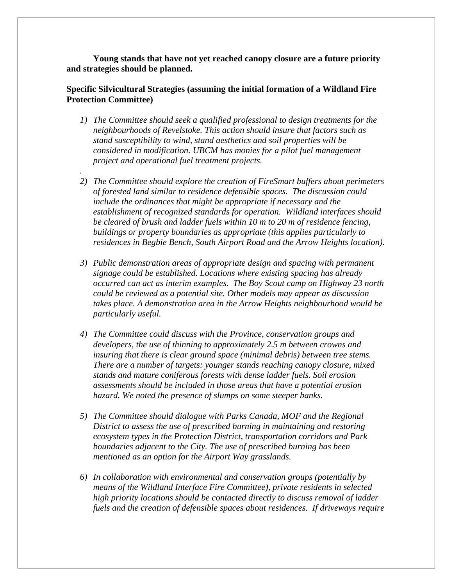**Young stands that have not yet reached canopy closure are a future priority and strategies should be planned.** 

## **Specific Silvicultural Strategies (assuming the initial formation of a Wildland Fire Protection Committee)**

*1) The Committee should seek a qualified professional to design treatments for the neighbourhoods of Revelstoke. This action should insure that factors such as stand susceptibility to wind, stand aesthetics and soil properties will be considered in modification. UBCM has monies for a pilot fuel management project and operational fuel treatment projects.* 

*.* 

- *2) The Committee should explore the creation of FireSmart buffers about perimeters of forested land similar to residence defensible spaces. The discussion could include the ordinances that might be appropriate if necessary and the establishment of recognized standards for operation. Wildland interfaces should be cleared of brush and ladder fuels within 10 m to 20 m of residence fencing, buildings or property boundaries as appropriate (this applies particularly to residences in Begbie Bench, South Airport Road and the Arrow Heights location).*
- *3) Public demonstration areas of appropriate design and spacing with permanent signage could be established. Locations where existing spacing has already occurred can act as interim examples. The Boy Scout camp on Highway 23 north could be reviewed as a potential site. Other models may appear as discussion takes place. A demonstration area in the Arrow Heights neighbourhood would be particularly useful.*
- *4) The Committee could discuss with the Province, conservation groups and developers, the use of thinning to approximately 2.5 m between crowns and insuring that there is clear ground space (minimal debris) between tree stems. There are a number of targets: younger stands reaching canopy closure, mixed stands and mature coniferous forests with dense ladder fuels. Soil erosion assessments should be included in those areas that have a potential erosion hazard. We noted the presence of slumps on some steeper banks.*
- *5) The Committee should dialogue with Parks Canada, MOF and the Regional District to assess the use of prescribed burning in maintaining and restoring ecosystem types in the Protection District, transportation corridors and Park boundaries adjacent to the City. The use of prescribed burning has been mentioned as an option for the Airport Way grasslands.*
- *6) In collaboration with environmental and conservation groups (potentially by means of the Wildland Interface Fire Committee), private residents in selected high priority locations should be contacted directly to discuss removal of ladder fuels and the creation of defensible spaces about residences. If driveways require*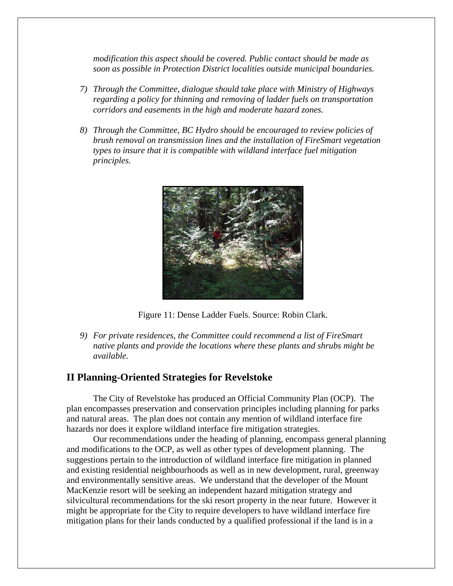*modification this aspect should be covered. Public contact should be made as soon as possible in Protection District localities outside municipal boundaries.* 

- *7) Through the Committee, dialogue should take place with Ministry of Highways regarding a policy for thinning and removing of ladder fuels on transportation corridors and easements in the high and moderate hazard zones.*
- *8) Through the Committee, BC Hydro should be encouraged to review policies of brush removal on transmission lines and the installation of FireSmart vegetation types to insure that it is compatible with wildland interface fuel mitigation principles.*



Figure 11: Dense Ladder Fuels. Source: Robin Clark.

*9) For private residences, the Committee could recommend a list of FireSmart native plants and provide the locations where these plants and shrubs might be available.* 

### **II Planning-Oriented Strategies for Revelstoke**

The City of Revelstoke has produced an Official Community Plan (OCP). The plan encompasses preservation and conservation principles including planning for parks and natural areas. The plan does not contain any mention of wildland interface fire hazards nor does it explore wildland interface fire mitigation strategies.

Our recommendations under the heading of planning, encompass general planning and modifications to the OCP, as well as other types of development planning. The suggestions pertain to the introduction of wildland interface fire mitigation in planned and existing residential neighbourhoods as well as in new development, rural, greenway and environmentally sensitive areas. We understand that the developer of the Mount MacKenzie resort will be seeking an independent hazard mitigation strategy and silvicultural recommendations for the ski resort property in the near future. However it might be appropriate for the City to require developers to have wildland interface fire mitigation plans for their lands conducted by a qualified professional if the land is in a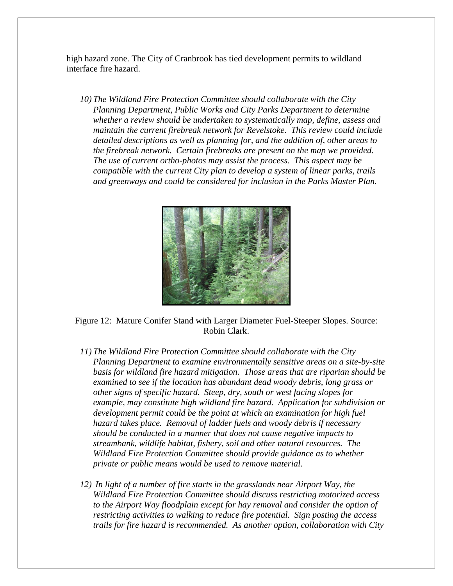high hazard zone. The City of Cranbrook has tied development permits to wildland interface fire hazard.

*10) The Wildland Fire Protection Committee should collaborate with the City Planning Department, Public Works and City Parks Department to determine whether a review should be undertaken to systematically map, define, assess and maintain the current firebreak network for Revelstoke. This review could include detailed descriptions as well as planning for, and the addition of, other areas to the firebreak network. Certain firebreaks are present on the map we provided. The use of current ortho-photos may assist the process. This aspect may be compatible with the current City plan to develop a system of linear parks, trails and greenways and could be considered for inclusion in the Parks Master Plan.* 



Figure 12: Mature Conifer Stand with Larger Diameter Fuel-Steeper Slopes. Source: Robin Clark.

- *11) The Wildland Fire Protection Committee should collaborate with the City Planning Department to examine environmentally sensitive areas on a site-by-site basis for wildland fire hazard mitigation. Those areas that are riparian should be examined to see if the location has abundant dead woody debris, long grass or other signs of specific hazard. Steep, dry, south or west facing slopes for example, may constitute high wildland fire hazard. Application for subdivision or development permit could be the point at which an examination for high fuel hazard takes place. Removal of ladder fuels and woody debris if necessary should be conducted in a manner that does not cause negative impacts to streambank, wildlife habitat, fishery, soil and other natural resources. The Wildland Fire Protection Committee should provide guidance as to whether private or public means would be used to remove material.*
- *12) In light of a number of fire starts in the grasslands near Airport Way, the Wildland Fire Protection Committee should discuss restricting motorized access*  to the Airport Way floodplain except for hay removal and consider the option of *restricting activities to walking to reduce fire potential. Sign posting the access trails for fire hazard is recommended. As another option, collaboration with City*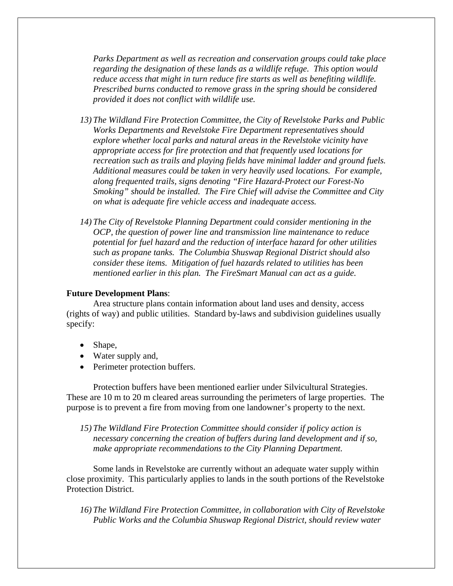*Parks Department as well as recreation and conservation groups could take place regarding the designation of these lands as a wildlife refuge. This option would reduce access that might in turn reduce fire starts as well as benefiting wildlife. Prescribed burns conducted to remove grass in the spring should be considered provided it does not conflict with wildlife use.* 

- *13) The Wildland Fire Protection Committee, the City of Revelstoke Parks and Public Works Departments and Revelstoke Fire Department representatives should explore whether local parks and natural areas in the Revelstoke vicinity have appropriate access for fire protection and that frequently used locations for recreation such as trails and playing fields have minimal ladder and ground fuels. Additional measures could be taken in very heavily used locations. For example, along frequented trails, signs denoting "Fire Hazard-Protect our Forest-No Smoking" should be installed. The Fire Chief will advise the Committee and City on what is adequate fire vehicle access and inadequate access.*
- *14) The City of Revelstoke Planning Department could consider mentioning in the OCP, the question of power line and transmission line maintenance to reduce potential for fuel hazard and the reduction of interface hazard for other utilities such as propane tanks. The Columbia Shuswap Regional District should also consider these items. Mitigation of fuel hazards related to utilities has been mentioned earlier in this plan. The FireSmart Manual can act as a guide.*

#### **Future Development Plans**:

Area structure plans contain information about land uses and density, access (rights of way) and public utilities. Standard by-laws and subdivision guidelines usually specify:

- Shape,
- Water supply and,
- Perimeter protection buffers.

Protection buffers have been mentioned earlier under Silvicultural Strategies. These are 10 m to 20 m cleared areas surrounding the perimeters of large properties. The purpose is to prevent a fire from moving from one landowner's property to the next.

*15) The Wildland Fire Protection Committee should consider if policy action is necessary concerning the creation of buffers during land development and if so, make appropriate recommendations to the City Planning Department.* 

Some lands in Revelstoke are currently without an adequate water supply within close proximity. This particularly applies to lands in the south portions of the Revelstoke Protection District.

*16) The Wildland Fire Protection Committee, in collaboration with City of Revelstoke Public Works and the Columbia Shuswap Regional District, should review water*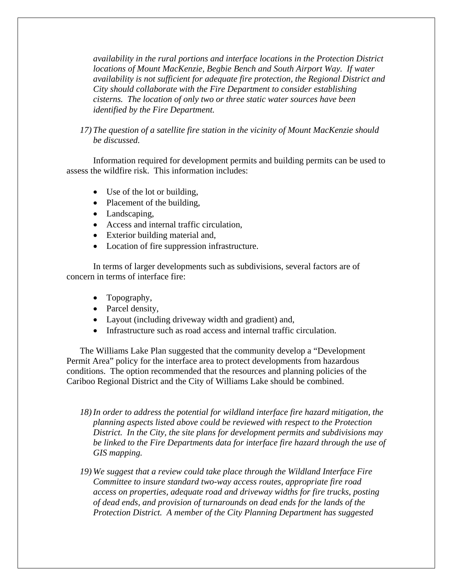*availability in the rural portions and interface locations in the Protection District locations of Mount MacKenzie, Begbie Bench and South Airport Way. If water availability is not sufficient for adequate fire protection, the Regional District and City should collaborate with the Fire Department to consider establishing cisterns. The location of only two or three static water sources have been identified by the Fire Department.* 

*17) The question of a satellite fire station in the vicinity of Mount MacKenzie should be discussed.* 

Information required for development permits and building permits can be used to assess the wildfire risk. This information includes:

- Use of the lot or building,
- Placement of the building,
- Landscaping,
- Access and internal traffic circulation,
- Exterior building material and,
- Location of fire suppression infrastructure.

In terms of larger developments such as subdivisions, several factors are of concern in terms of interface fire:

- Topography,
- Parcel density,
- Layout (including driveway width and gradient) and,
- Infrastructure such as road access and internal traffic circulation.

The Williams Lake Plan suggested that the community develop a "Development Permit Area" policy for the interface area to protect developments from hazardous conditions. The option recommended that the resources and planning policies of the Cariboo Regional District and the City of Williams Lake should be combined.

- *18)In order to address the potential for wildland interface fire hazard mitigation, the planning aspects listed above could be reviewed with respect to the Protection District. In the City, the site plans for development permits and subdivisions may be linked to the Fire Departments data for interface fire hazard through the use of GIS mapping.*
- *19) We suggest that a review could take place through the Wildland Interface Fire Committee to insure standard two-way access routes, appropriate fire road access on properties, adequate road and driveway widths for fire trucks, posting of dead ends, and provision of turnarounds on dead ends for the lands of the Protection District. A member of the City Planning Department has suggested*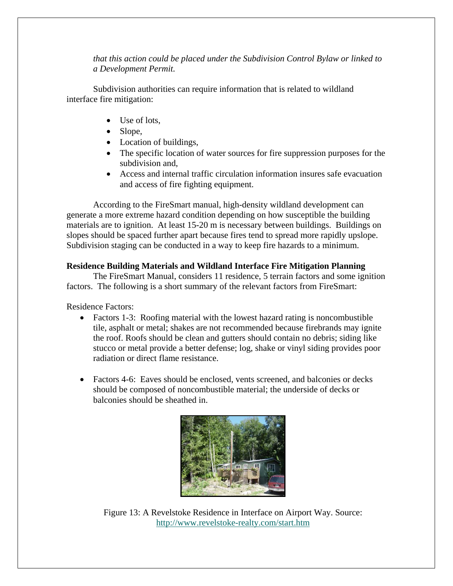*that this action could be placed under the Subdivision Control Bylaw or linked to a Development Permit.* 

Subdivision authorities can require information that is related to wildland interface fire mitigation:

- Use of lots,
- Slope.
- Location of buildings,
- The specific location of water sources for fire suppression purposes for the subdivision and,
- Access and internal traffic circulation information insures safe evacuation and access of fire fighting equipment.

According to the FireSmart manual, high-density wildland development can generate a more extreme hazard condition depending on how susceptible the building materials are to ignition. At least 15-20 m is necessary between buildings. Buildings on slopes should be spaced further apart because fires tend to spread more rapidly upslope. Subdivision staging can be conducted in a way to keep fire hazards to a minimum.

## **Residence Building Materials and Wildland Interface Fire Mitigation Planning**

The FireSmart Manual, considers 11 residence, 5 terrain factors and some ignition factors. The following is a short summary of the relevant factors from FireSmart:

Residence Factors:

- Factors 1-3: Roofing material with the lowest hazard rating is noncombustible tile, asphalt or metal; shakes are not recommended because firebrands may ignite the roof. Roofs should be clean and gutters should contain no debris; siding like stucco or metal provide a better defense; log, shake or vinyl siding provides poor radiation or direct flame resistance.
- Factors 4-6: Eaves should be enclosed, vents screened, and balconies or decks should be composed of noncombustible material; the underside of decks or balconies should be sheathed in.



Figure 13: A Revelstoke Residence in Interface on Airport Way. Source: http://www.revelstoke-realty.com/start.htm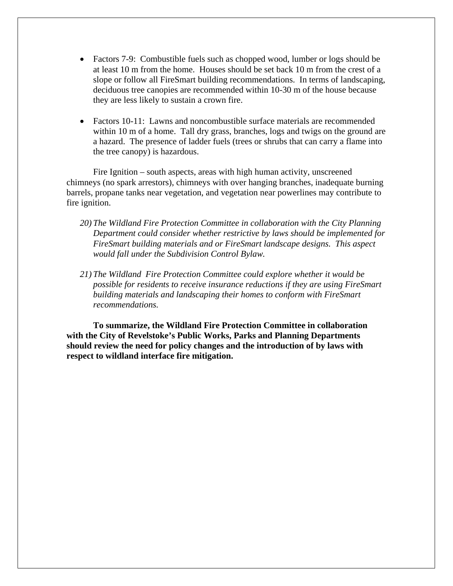- Factors 7-9: Combustible fuels such as chopped wood, lumber or logs should be at least 10 m from the home. Houses should be set back 10 m from the crest of a slope or follow all FireSmart building recommendations. In terms of landscaping, deciduous tree canopies are recommended within 10-30 m of the house because they are less likely to sustain a crown fire.
- Factors 10-11: Lawns and noncombustible surface materials are recommended within 10 m of a home. Tall dry grass, branches, logs and twigs on the ground are a hazard. The presence of ladder fuels (trees or shrubs that can carry a flame into the tree canopy) is hazardous.

Fire Ignition – south aspects, areas with high human activity, unscreened chimneys (no spark arrestors), chimneys with over hanging branches, inadequate burning barrels, propane tanks near vegetation, and vegetation near powerlines may contribute to fire ignition.

- *20) The Wildland Fire Protection Committee in collaboration with the City Planning Department could consider whether restrictive by laws should be implemented for FireSmart building materials and or FireSmart landscape designs.**This aspect would fall under the Subdivision Control Bylaw.*
- *21) The Wildland Fire Protection Committee could explore whether it would be possible for residents to receive insurance reductions if they are using FireSmart building materials and landscaping their homes to conform with FireSmart recommendations.*

**To summarize, the Wildland Fire Protection Committee in collaboration with the City of Revelstoke's Public Works, Parks and Planning Departments should review the need for policy changes and the introduction of by laws with respect to wildland interface fire mitigation.**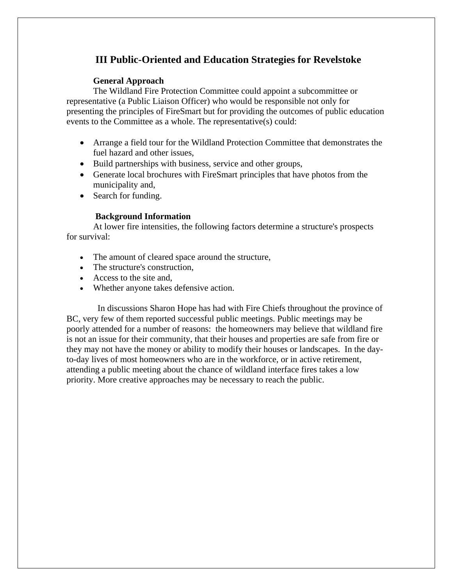## **III Public-Oriented and Education Strategies for Revelstoke**

## **General Approach**

The Wildland Fire Protection Committee could appoint a subcommittee or representative (a Public Liaison Officer) who would be responsible not only for presenting the principles of FireSmart but for providing the outcomes of public education events to the Committee as a whole. The representative(s) could:

- Arrange a field tour for the Wildland Protection Committee that demonstrates the fuel hazard and other issues,
- Build partnerships with business, service and other groups,
- Generate local brochures with FireSmart principles that have photos from the municipality and,
- Search for funding.

## **Background Information**

At lower fire intensities, the following factors determine a structure's prospects for survival:

- The amount of cleared space around the structure,
- The structure's construction.
- Access to the site and,
- Whether anyone takes defensive action.

 In discussions Sharon Hope has had with Fire Chiefs throughout the province of BC, very few of them reported successful public meetings. Public meetings may be poorly attended for a number of reasons: the homeowners may believe that wildland fire is not an issue for their community, that their houses and properties are safe from fire or they may not have the money or ability to modify their houses or landscapes. In the dayto-day lives of most homeowners who are in the workforce, or in active retirement, attending a public meeting about the chance of wildland interface fires takes a low priority. More creative approaches may be necessary to reach the public.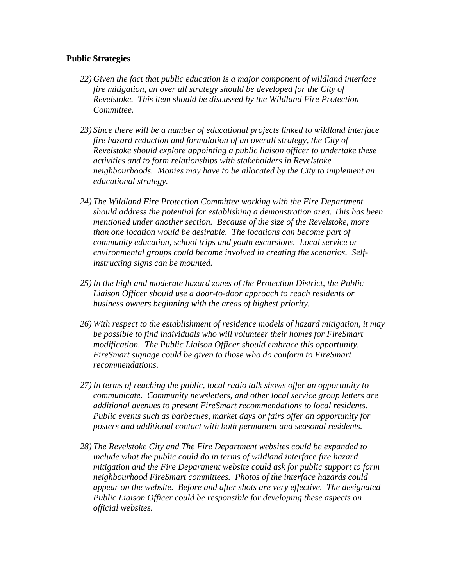### **Public Strategies**

- *22) Given the fact that public education is a major component of wildland interface fire mitigation, an over all strategy should be developed for the City of Revelstoke. This item should be discussed by the Wildland Fire Protection Committee.*
- *23) Since there will be a number of educational projects linked to wildland interface fire hazard reduction and formulation of an overall strategy, the City of Revelstoke should explore appointing a public liaison officer to undertake these activities and to form relationships with stakeholders in Revelstoke neighbourhoods. Monies may have to be allocated by the City to implement an educational strategy.*
- *24) The Wildland Fire Protection Committee working with the Fire Department should address the potential for establishing a demonstration area. This has been mentioned under another section. Because of the size of the Revelstoke, more than one location would be desirable. The locations can become part of community education, school trips and youth excursions. Local service or environmental groups could become involved in creating the scenarios. Selfinstructing signs can be mounted.*
- *25)In the high and moderate hazard zones of the Protection District, the Public Liaison Officer should use a door-to-door approach to reach residents or business owners beginning with the areas of highest priority.*
- *26) With respect to the establishment of residence models of hazard mitigation, it may be possible to find individuals who will volunteer their homes for FireSmart modification. The Public Liaison Officer should embrace this opportunity. FireSmart signage could be given to those who do conform to FireSmart recommendations.*
- *27)In terms of reaching the public, local radio talk shows offer an opportunity to communicate. Community newsletters, and other local service group letters are additional avenues to present FireSmart recommendations to local residents. Public events such as barbecues, market days or fairs offer an opportunity for posters and additional contact with both permanent and seasonal residents.*
- *28) The Revelstoke City and The Fire Department websites could be expanded to include what the public could do in terms of wildland interface fire hazard mitigation and the Fire Department website could ask for public support to form neighbourhood FireSmart committees. Photos of the interface hazards could appear on the website. Before and after shots are very effective. The designated Public Liaison Officer could be responsible for developing these aspects on official websites.*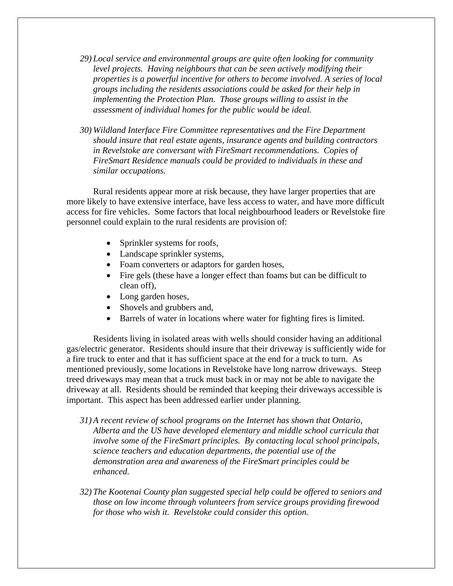- *29) Local service and environmental groups are quite often looking for community*  level projects. Having neighbours that can be seen actively modifying their *properties is a powerful incentive for others to become involved. A series of local groups including the residents associations could be asked for their help in implementing the Protection Plan. Those groups willing to assist in the assessment of individual homes for the public would be ideal.*
- *30) Wildland Interface Fire Committee representatives and the Fire Department should insure that real estate agents, insurance agents and building contractors in Revelstoke are conversant with FireSmart recommendations. Copies of FireSmart Residence manuals could be provided to individuals in these and similar occupations.*

Rural residents appear more at risk because, they have larger properties that are more likely to have extensive interface, have less access to water, and have more difficult access for fire vehicles. Some factors that local neighbourhood leaders or Revelstoke fire personnel could explain to the rural residents are provision of:

- Sprinkler systems for roofs,
- Landscape sprinkler systems,
- Foam converters or adaptors for garden hoses,
- Fire gels (these have a longer effect than foams but can be difficult to clean off),
- Long garden hoses,
- Shovels and grubbers and,
- Barrels of water in locations where water for fighting fires is limited.

Residents living in isolated areas with wells should consider having an additional gas/electric generator. Residents should insure that their driveway is sufficiently wide for a fire truck to enter and that it has sufficient space at the end for a truck to turn. As mentioned previously, some locations in Revelstoke have long narrow driveways. Steep treed driveways may mean that a truck must back in or may not be able to navigate the driveway at all. Residents should be reminded that keeping their driveways accessible is important. This aspect has been addressed earlier under planning.

- *31) A recent review of school programs on the Internet has shown that Ontario, Alberta and the US have developed elementary and middle school curricula that involve some of the FireSmart principles. By contacting local school principals, science teachers and education departments, the potential use of the demonstration area and awareness of the FireSmart principles could be enhanced.*
- *32) The Kootenai County plan suggested special help could be offered to seniors and those on low income through volunteers from service groups providing firewood for those who wish it. Revelstoke could consider this option.*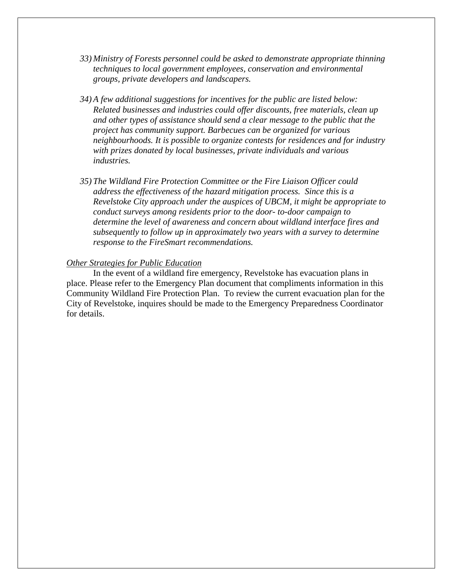- *33) Ministry of Forests personnel could be asked to demonstrate appropriate thinning techniques to local government employees, conservation and environmental groups, private developers and landscapers.*
- *34) A few additional suggestions for incentives for the public are listed below: Related businesses and industries could offer discounts, free materials, clean up and other types of assistance should send a clear message to the public that the project has community support. Barbecues can be organized for various neighbourhoods. It is possible to organize contests for residences and for industry with prizes donated by local businesses, private individuals and various industries.*
- *35) The Wildland Fire Protection Committee or the Fire Liaison Officer could address the effectiveness of the hazard mitigation process. Since this is a Revelstoke City approach under the auspices of UBCM, it might be appropriate to conduct surveys among residents prior to the door- to-door campaign to determine the level of awareness and concern about wildland interface fires and subsequently to follow up in approximately two years with a survey to determine response to the FireSmart recommendations.*

#### *Other Strategies for Public Education*

In the event of a wildland fire emergency, Revelstoke has evacuation plans in place. Please refer to the Emergency Plan document that compliments information in this Community Wildland Fire Protection Plan. To review the current evacuation plan for the City of Revelstoke, inquires should be made to the Emergency Preparedness Coordinator for details.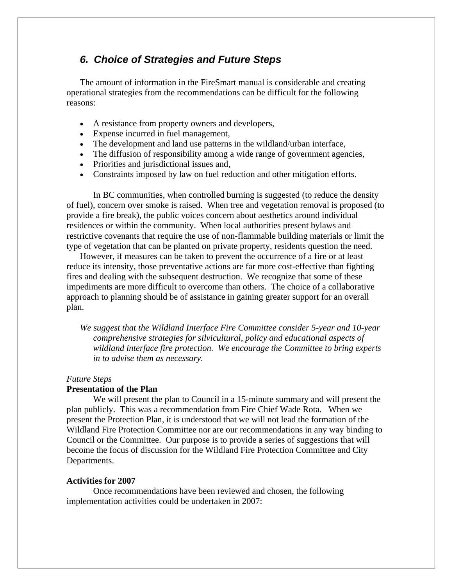## *6. Choice of Strategies and Future Steps*

The amount of information in the FireSmart manual is considerable and creating operational strategies from the recommendations can be difficult for the following reasons:

- A resistance from property owners and developers,
- Expense incurred in fuel management,
- The development and land use patterns in the wildland/urban interface,
- The diffusion of responsibility among a wide range of government agencies,
- Priorities and jurisdictional issues and,
- Constraints imposed by law on fuel reduction and other mitigation efforts.

In BC communities, when controlled burning is suggested (to reduce the density of fuel), concern over smoke is raised. When tree and vegetation removal is proposed (to provide a fire break), the public voices concern about aesthetics around individual residences or within the community. When local authorities present bylaws and restrictive covenants that require the use of non-flammable building materials or limit the type of vegetation that can be planted on private property, residents question the need.

However, if measures can be taken to prevent the occurrence of a fire or at least reduce its intensity, those preventative actions are far more cost-effective than fighting fires and dealing with the subsequent destruction. We recognize that some of these impediments are more difficult to overcome than others. The choice of a collaborative approach to planning should be of assistance in gaining greater support for an overall plan.

*We suggest that the Wildland Interface Fire Committee consider 5-year and 10-year comprehensive strategies for silvicultural, policy and educational aspects of wildland interface fire protection. We encourage the Committee to bring experts in to advise them as necessary.* 

#### *Future Steps*

#### **Presentation of the Plan**

 We will present the plan to Council in a 15-minute summary and will present the plan publicly. This was a recommendation from Fire Chief Wade Rota. When we present the Protection Plan, it is understood that we will not lead the formation of the Wildland Fire Protection Committee nor are our recommendations in any way binding to Council or the Committee. Our purpose is to provide a series of suggestions that will become the focus of discussion for the Wildland Fire Protection Committee and City Departments.

#### **Activities for 2007**

Once recommendations have been reviewed and chosen, the following implementation activities could be undertaken in 2007: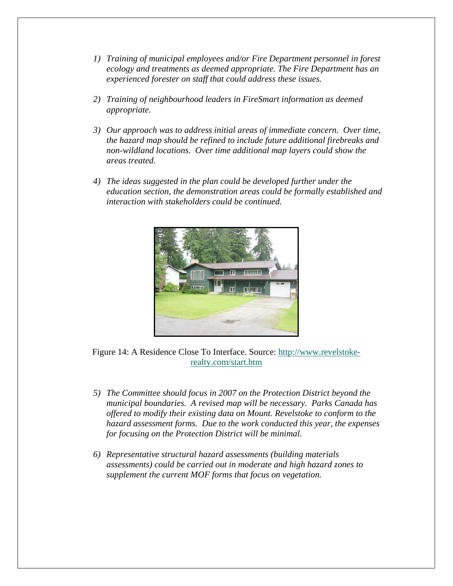- *1) Training of municipal employees and/or Fire Department personnel in forest ecology and treatments as deemed appropriate. The Fire Department has an experienced forester on staff that could address these issues.*
- *2) Training of neighbourhood leaders in FireSmart information as deemed appropriate.*
- *3) Our approach was to address initial areas of immediate concern. Over time, the hazard map should be refined to include future additional firebreaks and non-wildland locations. Over time additional map layers could show the areas treated.*
- *4) The ideas suggested in the plan could be developed further under the education section, the demonstration areas could be formally established and interaction with stakeholders could be continued.*



Figure 14: A Residence Close To Interface. Source: http://www.revelstokerealty.com/start.htm

- *5) The Committee should focus in 2007 on the Protection District beyond the municipal boundaries. A revised map will be necessary. Parks Canada has offered to modify their existing data on Mount. Revelstoke to conform to the hazard assessment forms. Due to the work conducted this year, the expenses for focusing on the Protection District will be minimal.*
- *6) Representative structural hazard assessments (building materials assessments) could be carried out in moderate and high hazard zones to supplement the current MOF forms that focus on vegetation.*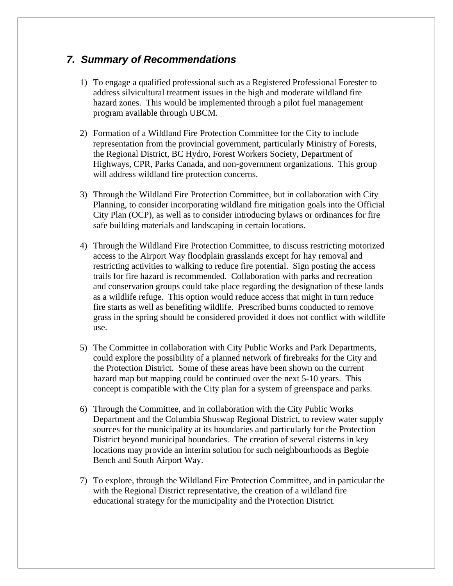## *7. Summary of Recommendations*

- 1) To engage a qualified professional such as a Registered Professional Forester to address silvicultural treatment issues in the high and moderate wildland fire hazard zones. This would be implemented through a pilot fuel management program available through UBCM.
- 2) Formation of a Wildland Fire Protection Committee for the City to include representation from the provincial government, particularly Ministry of Forests, the Regional District, BC Hydro, Forest Workers Society, Department of Highways, CPR, Parks Canada, and non-government organizations. This group will address wildland fire protection concerns.
- 3) Through the Wildland Fire Protection Committee, but in collaboration with City Planning, to consider incorporating wildland fire mitigation goals into the Official City Plan (OCP), as well as to consider introducing bylaws or ordinances for fire safe building materials and landscaping in certain locations.
- 4) Through the Wildland Fire Protection Committee, to discuss restricting motorized access to the Airport Way floodplain grasslands except for hay removal and restricting activities to walking to reduce fire potential. Sign posting the access trails for fire hazard is recommended. Collaboration with parks and recreation and conservation groups could take place regarding the designation of these lands as a wildlife refuge. This option would reduce access that might in turn reduce fire starts as well as benefiting wildlife. Prescribed burns conducted to remove grass in the spring should be considered provided it does not conflict with wildlife use.
- 5) The Committee in collaboration with City Public Works and Park Departments, could explore the possibility of a planned network of firebreaks for the City and the Protection District. Some of these areas have been shown on the current hazard map but mapping could be continued over the next 5-10 years. This concept is compatible with the City plan for a system of greenspace and parks.
- 6) Through the Committee, and in collaboration with the City Public Works Department and the Columbia Shuswap Regional District, to review water supply sources for the municipality at its boundaries and particularly for the Protection District beyond municipal boundaries. The creation of several cisterns in key locations may provide an interim solution for such neighbourhoods as Begbie Bench and South Airport Way.
- 7) To explore, through the Wildland Fire Protection Committee, and in particular the with the Regional District representative, the creation of a wildland fire educational strategy for the municipality and the Protection District.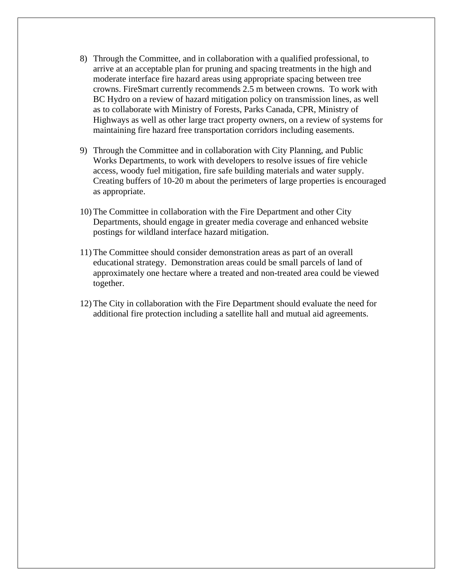- 8) Through the Committee, and in collaboration with a qualified professional, to arrive at an acceptable plan for pruning and spacing treatments in the high and moderate interface fire hazard areas using appropriate spacing between tree crowns. FireSmart currently recommends 2.5 m between crowns. To work with BC Hydro on a review of hazard mitigation policy on transmission lines, as well as to collaborate with Ministry of Forests, Parks Canada, CPR, Ministry of Highways as well as other large tract property owners, on a review of systems for maintaining fire hazard free transportation corridors including easements.
- 9) Through the Committee and in collaboration with City Planning, and Public Works Departments, to work with developers to resolve issues of fire vehicle access, woody fuel mitigation, fire safe building materials and water supply. Creating buffers of 10-20 m about the perimeters of large properties is encouraged as appropriate.
- 10) The Committee in collaboration with the Fire Department and other City Departments, should engage in greater media coverage and enhanced website postings for wildland interface hazard mitigation.
- 11) The Committee should consider demonstration areas as part of an overall educational strategy. Demonstration areas could be small parcels of land of approximately one hectare where a treated and non-treated area could be viewed together.
- 12) The City in collaboration with the Fire Department should evaluate the need for additional fire protection including a satellite hall and mutual aid agreements.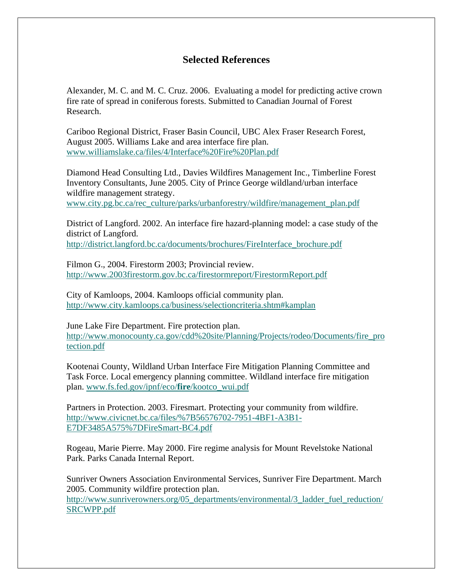## **Selected References**

Alexander, M. C. and M. C. Cruz. 2006. Evaluating a model for predicting active crown fire rate of spread in coniferous forests. Submitted to Canadian Journal of Forest Research.

Cariboo Regional District, Fraser Basin Council, UBC Alex Fraser Research Forest, August 2005. Williams Lake and area interface fire plan. www.williamslake.ca/files/4/Interface%20Fire%20Plan.pdf

Diamond Head Consulting Ltd., Davies Wildfires Management Inc., Timberline Forest Inventory Consultants, June 2005. City of Prince George wildland/urban interface wildfire management strategy. www.city.pg.bc.ca/rec\_culture/parks/urbanforestry/wildfire/management\_plan.pdf

District of Langford. 2002. An interface fire hazard-planning model: a case study of the district of Langford. http://district.langford.bc.ca/documents/brochures/FireInterface\_brochure.pdf

Filmon G., 2004. Firestorm 2003; Provincial review. http://www.2003firestorm.gov.bc.ca/firestormreport/FirestormReport.pdf

City of Kamloops, 2004. Kamloops official community plan. http://www.city.kamloops.ca/business/selectioncriteria.shtm#kamplan

June Lake Fire Department. Fire protection plan. http://www.monocounty.ca.gov/cdd%20site/Planning/Projects/rodeo/Documents/fire\_pro tection.pdf

Kootenai County, Wildland Urban Interface Fire Mitigation Planning Committee and Task Force. Local emergency planning committee. Wildland interface fire mitigation plan. www.fs.fed.gov/ipnf/eco/**fire**/kootco\_wui.pdf

Partners in Protection. 2003. Firesmart. Protecting your community from wildfire. http://www.civicnet.bc.ca/files/%7B56576702-7951-4BF1-A3B1- E7DF3485A575%7DFireSmart-BC4.pdf

Rogeau, Marie Pierre. May 2000. Fire regime analysis for Mount Revelstoke National Park. Parks Canada Internal Report.

Sunriver Owners Association Environmental Services, Sunriver Fire Department. March 2005. Community wildfire protection plan.

http://www.sunriverowners.org/05\_departments/environmental/3\_ladder\_fuel\_reduction/ SRCWPP.pdf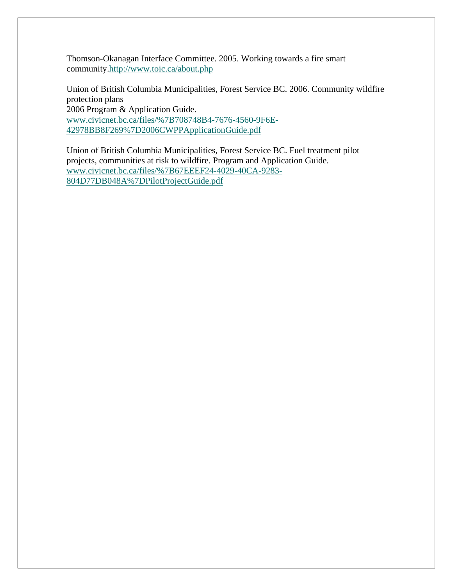Thomson-Okanagan Interface Committee. 2005. Working towards a fire smart community.http://www.toic.ca/about.php

Union of British Columbia Municipalities, Forest Service BC. 2006. Community wildfire protection plans

2006 Program & Application Guide. www.civicnet.bc.ca/files/%7B708748B4-7676-4560-9F6E-42978BB8F269%7D2006CWPPApplicationGuide.pdf

Union of British Columbia Municipalities, Forest Service BC. Fuel treatment pilot projects, communities at risk to wildfire. Program and Application Guide. www.civicnet.bc.ca/files/%7B67EEEF24-4029-40CA-9283- 804D77DB048A%7DPilotProjectGuide.pdf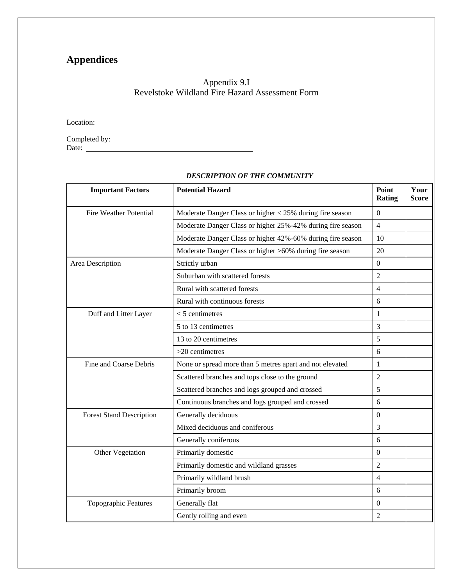## **Appendices**

## Appendix 9.I Revelstoke Wildland Fire Hazard Assessment Form

Location:

Completed by: Date:

| <b>Important Factors</b>        | <b>Potential Hazard</b>                                    | Point<br>Rating  | Your<br><b>Score</b> |
|---------------------------------|------------------------------------------------------------|------------------|----------------------|
| <b>Fire Weather Potential</b>   | Moderate Danger Class or higher < 25% during fire season   | $\Omega$         |                      |
|                                 | Moderate Danger Class or higher 25%-42% during fire season | $\overline{4}$   |                      |
|                                 | Moderate Danger Class or higher 42%-60% during fire season | 10               |                      |
|                                 | Moderate Danger Class or higher >60% during fire season    | 20               |                      |
| Area Description                | Strictly urban                                             | $\boldsymbol{0}$ |                      |
|                                 | Suburban with scattered forests                            | $\overline{2}$   |                      |
|                                 | Rural with scattered forests                               | $\overline{4}$   |                      |
|                                 | Rural with continuous forests                              | 6                |                      |
| Duff and Litter Layer           | $<$ 5 centimetres                                          | 1                |                      |
|                                 | 5 to 13 centimetres                                        | 3                |                      |
|                                 | 13 to 20 centimetres                                       | 5                |                      |
|                                 | $>20$ centimetres                                          | 6                |                      |
| Fine and Coarse Debris          | None or spread more than 5 metres apart and not elevated   | 1                |                      |
|                                 | Scattered branches and tops close to the ground            | $\overline{2}$   |                      |
|                                 | Scattered branches and logs grouped and crossed            | 5                |                      |
|                                 | Continuous branches and logs grouped and crossed           | 6                |                      |
| <b>Forest Stand Description</b> | Generally deciduous                                        | $\Omega$         |                      |
|                                 | Mixed deciduous and coniferous                             | 3                |                      |
|                                 | Generally coniferous                                       | 6                |                      |
| Other Vegetation                | Primarily domestic                                         |                  |                      |
|                                 | Primarily domestic and wildland grasses                    | $\overline{2}$   |                      |
|                                 | Primarily wildland brush                                   | $\overline{4}$   |                      |
|                                 | Primarily broom                                            | 6                |                      |
| Topographic Features            | Generally flat                                             | $\theta$         |                      |
|                                 | Gently rolling and even                                    | $\overline{2}$   |                      |

## *DESCRIPTION OF THE COMMUNITY*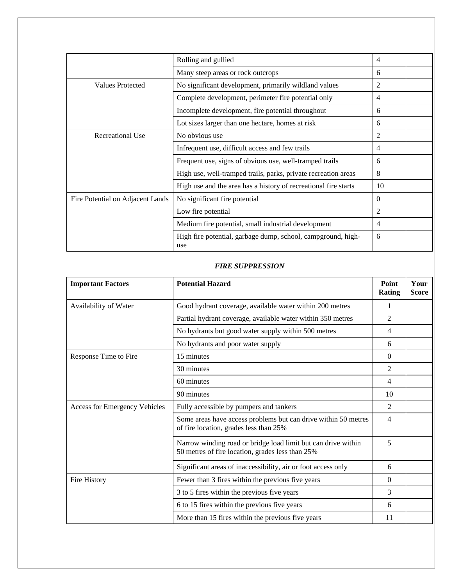|                                  | Rolling and gullied                                                 | 4              |  |
|----------------------------------|---------------------------------------------------------------------|----------------|--|
|                                  | Many steep areas or rock outcrops                                   | 6              |  |
| Values Protected                 | No significant development, primarily wildland values               | 2              |  |
|                                  | Complete development, perimeter fire potential only                 | 4              |  |
|                                  | Incomplete development, fire potential throughout                   | 6              |  |
|                                  | Lot sizes larger than one hectare, homes at risk                    | 6              |  |
| Recreational Use                 | No obvious use                                                      | $\overline{2}$ |  |
|                                  | Infrequent use, difficult access and few trails                     | 4              |  |
|                                  | Frequent use, signs of obvious use, well-tramped trails             | 6              |  |
|                                  | High use, well-tramped trails, parks, private recreation areas      | 8              |  |
|                                  | High use and the area has a history of recreational fire starts     | 10             |  |
| Fire Potential on Adjacent Lands | No significant fire potential                                       | $\Omega$       |  |
|                                  | Low fire potential                                                  | $\overline{2}$ |  |
|                                  | Medium fire potential, small industrial development                 | 4              |  |
|                                  | High fire potential, garbage dump, school, campground, high-<br>use | 6              |  |

#### *FIRE SUPPRESSION*

| <b>Important Factors</b>      | <b>Potential Hazard</b>                                                                                           | Point<br>Rating | Your<br><b>Score</b> |
|-------------------------------|-------------------------------------------------------------------------------------------------------------------|-----------------|----------------------|
| Availability of Water         | Good hydrant coverage, available water within 200 metres                                                          | 1               |                      |
|                               | Partial hydrant coverage, available water within 350 metres                                                       | 2               |                      |
|                               | No hydrants but good water supply within 500 metres                                                               | 4               |                      |
|                               | No hydrants and poor water supply                                                                                 | 6               |                      |
| Response Time to Fire         | 15 minutes                                                                                                        | $\Omega$        |                      |
|                               | 30 minutes                                                                                                        | 2               |                      |
|                               | 60 minutes                                                                                                        | 4               |                      |
|                               | 90 minutes                                                                                                        | 10              |                      |
| Access for Emergency Vehicles | Fully accessible by pumpers and tankers                                                                           | 2               |                      |
|                               | Some areas have access problems but can drive within 50 metres<br>of fire location, grades less than 25%          | $\overline{4}$  |                      |
|                               | Narrow winding road or bridge load limit but can drive within<br>50 metres of fire location, grades less than 25% | 5               |                      |
|                               | Significant areas of inaccessibility, air or foot access only                                                     | 6               |                      |
| Fire History                  | Fewer than 3 fires within the previous five years                                                                 | $\Omega$        |                      |
|                               | 3 to 5 fires within the previous five years                                                                       | 3               |                      |
|                               | 6 to 15 fires within the previous five years                                                                      | 6               |                      |
|                               | More than 15 fires within the previous five years                                                                 | 11              |                      |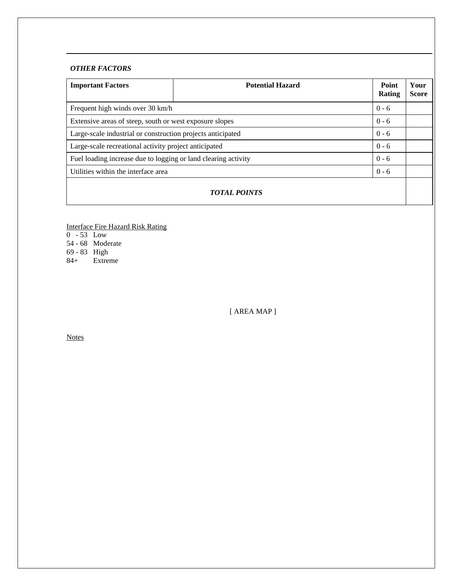## *OTHER FACTORS*

| <b>Important Factors</b>                                                  | <b>Potential Hazard</b> | Point<br><b>Rating</b> | Your<br><b>Score</b> |  |  |  |  |
|---------------------------------------------------------------------------|-------------------------|------------------------|----------------------|--|--|--|--|
| Frequent high winds over 30 km/h                                          |                         | $0 - 6$                |                      |  |  |  |  |
| $0 - 6$<br>Extensive areas of steep, south or west exposure slopes        |                         |                        |                      |  |  |  |  |
| Large-scale industrial or construction projects anticipated<br>$0 - 6$    |                         |                        |                      |  |  |  |  |
| Large-scale recreational activity project anticipated                     |                         | $0 - 6$                |                      |  |  |  |  |
| $0 - 6$<br>Fuel loading increase due to logging or land clearing activity |                         |                        |                      |  |  |  |  |
| $0 - 6$<br>Utilities within the interface area                            |                         |                        |                      |  |  |  |  |
| <b>TOTAL POINTS</b>                                                       |                         |                        |                      |  |  |  |  |

Interface Fire Hazard Risk Rating

0 - 53 Low

54 - 68 Moderate

69 - 83 High

84+ Extreme

[ AREA MAP ]

**Notes**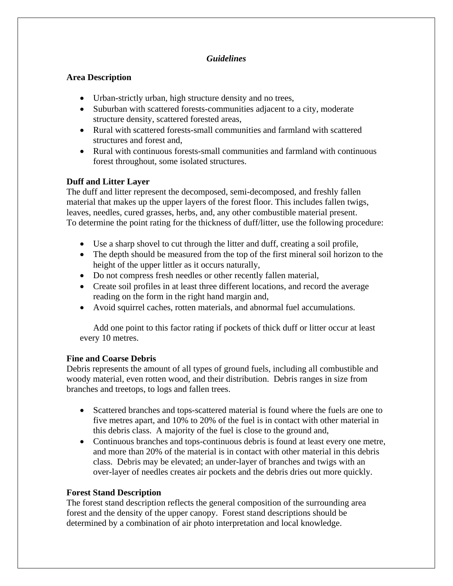## *Guidelines*

## **Area Description**

- Urban-strictly urban, high structure density and no trees,
- Suburban with scattered forests-communities adjacent to a city, moderate structure density, scattered forested areas,
- Rural with scattered forests-small communities and farmland with scattered structures and forest and,
- Rural with continuous forests-small communities and farmland with continuous forest throughout, some isolated structures.

## **Duff and Litter Layer**

The duff and litter represent the decomposed, semi-decomposed, and freshly fallen material that makes up the upper layers of the forest floor. This includes fallen twigs, leaves, needles, cured grasses, herbs, and, any other combustible material present. To determine the point rating for the thickness of duff/litter, use the following procedure:

- Use a sharp shovel to cut through the litter and duff, creating a soil profile,
- The depth should be measured from the top of the first mineral soil horizon to the height of the upper littler as it occurs naturally,
- Do not compress fresh needles or other recently fallen material,
- Create soil profiles in at least three different locations, and record the average reading on the form in the right hand margin and,
- Avoid squirrel caches, rotten materials, and abnormal fuel accumulations.

Add one point to this factor rating if pockets of thick duff or litter occur at least every 10 metres.

## **Fine and Coarse Debris**

Debris represents the amount of all types of ground fuels, including all combustible and woody material, even rotten wood, and their distribution. Debris ranges in size from branches and treetops, to logs and fallen trees.

- Scattered branches and tops-scattered material is found where the fuels are one to five metres apart, and 10% to 20% of the fuel is in contact with other material in this debris class. A majority of the fuel is close to the ground and,
- Continuous branches and tops-continuous debris is found at least every one metre, and more than 20% of the material is in contact with other material in this debris class. Debris may be elevated; an under-layer of branches and twigs with an over-layer of needles creates air pockets and the debris dries out more quickly.

## **Forest Stand Description**

The forest stand description reflects the general composition of the surrounding area forest and the density of the upper canopy. Forest stand descriptions should be determined by a combination of air photo interpretation and local knowledge.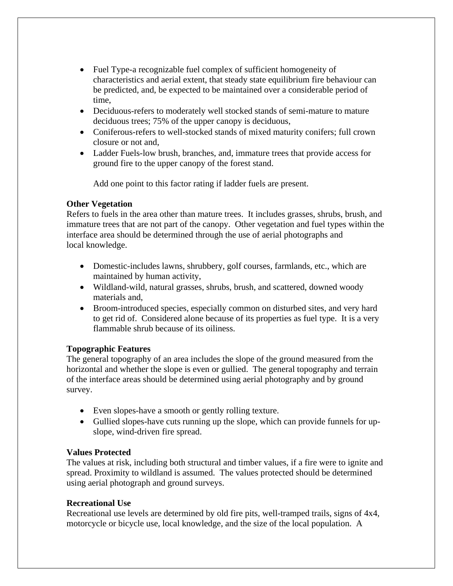- Fuel Type-a recognizable fuel complex of sufficient homogeneity of characteristics and aerial extent, that steady state equilibrium fire behaviour can be predicted, and, be expected to be maintained over a considerable period of time,
- Deciduous-refers to moderately well stocked stands of semi-mature to mature deciduous trees; 75% of the upper canopy is deciduous,
- Coniferous-refers to well-stocked stands of mixed maturity conifers; full crown closure or not and,
- Ladder Fuels-low brush, branches, and, immature trees that provide access for ground fire to the upper canopy of the forest stand.

Add one point to this factor rating if ladder fuels are present.

## **Other Vegetation**

Refers to fuels in the area other than mature trees. It includes grasses, shrubs, brush, and immature trees that are not part of the canopy. Other vegetation and fuel types within the interface area should be determined through the use of aerial photographs and local knowledge.

- Domestic-includes lawns, shrubbery, golf courses, farmlands, etc., which are maintained by human activity,
- Wildland-wild, natural grasses, shrubs, brush, and scattered, downed woody materials and,
- Broom-introduced species, especially common on disturbed sites, and very hard to get rid of. Considered alone because of its properties as fuel type. It is a very flammable shrub because of its oiliness.

## **Topographic Features**

The general topography of an area includes the slope of the ground measured from the horizontal and whether the slope is even or gullied. The general topography and terrain of the interface areas should be determined using aerial photography and by ground survey.

- Even slopes-have a smooth or gently rolling texture.
- Gullied slopes-have cuts running up the slope, which can provide funnels for upslope, wind-driven fire spread.

## **Values Protected**

The values at risk, including both structural and timber values, if a fire were to ignite and spread. Proximity to wildland is assumed. The values protected should be determined using aerial photograph and ground surveys.

## **Recreational Use**

Recreational use levels are determined by old fire pits, well-tramped trails, signs of 4x4, motorcycle or bicycle use, local knowledge, and the size of the local population. A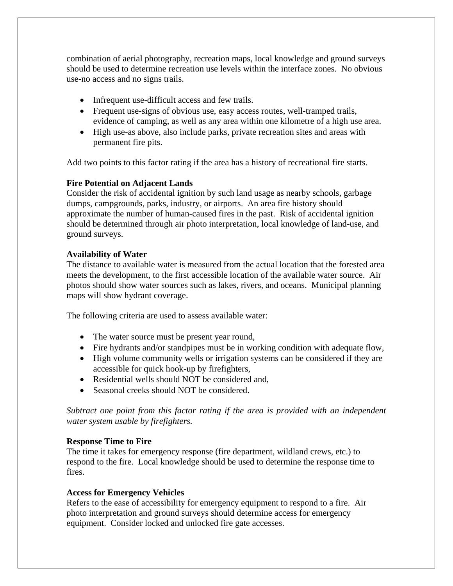combination of aerial photography, recreation maps, local knowledge and ground surveys should be used to determine recreation use levels within the interface zones. No obvious use-no access and no signs trails.

- Infrequent use-difficult access and few trails.
- Frequent use-signs of obvious use, easy access routes, well-tramped trails, evidence of camping, as well as any area within one kilometre of a high use area.
- High use-as above, also include parks, private recreation sites and areas with permanent fire pits.

Add two points to this factor rating if the area has a history of recreational fire starts.

## **Fire Potential on Adjacent Lands**

Consider the risk of accidental ignition by such land usage as nearby schools, garbage dumps, campgrounds, parks, industry, or airports. An area fire history should approximate the number of human-caused fires in the past. Risk of accidental ignition should be determined through air photo interpretation, local knowledge of land-use, and ground surveys.

## **Availability of Water**

The distance to available water is measured from the actual location that the forested area meets the development, to the first accessible location of the available water source. Air photos should show water sources such as lakes, rivers, and oceans. Municipal planning maps will show hydrant coverage.

The following criteria are used to assess available water:

- The water source must be present year round,
- Fire hydrants and/or standpipes must be in working condition with adequate flow,
- High volume community wells or irrigation systems can be considered if they are accessible for quick hook-up by firefighters,
- Residential wells should NOT be considered and,
- Seasonal creeks should NOT be considered.

*Subtract one point from this factor rating if the area is provided with an independent water system usable by firefighters.* 

## **Response Time to Fire**

The time it takes for emergency response (fire department, wildland crews, etc.) to respond to the fire. Local knowledge should be used to determine the response time to fires.

## **Access for Emergency Vehicles**

Refers to the ease of accessibility for emergency equipment to respond to a fire. Air photo interpretation and ground surveys should determine access for emergency equipment. Consider locked and unlocked fire gate accesses.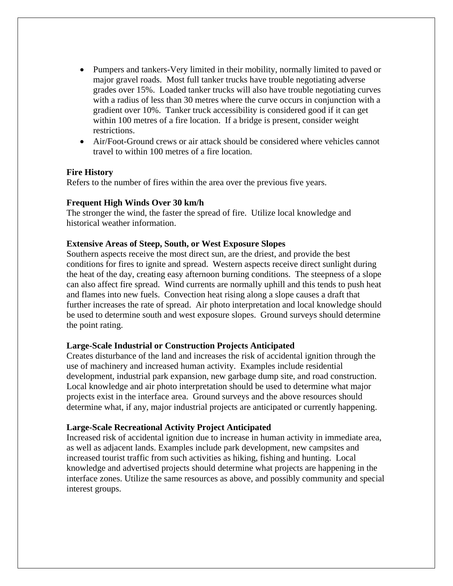- Pumpers and tankers-Very limited in their mobility, normally limited to paved or major gravel roads. Most full tanker trucks have trouble negotiating adverse grades over 15%. Loaded tanker trucks will also have trouble negotiating curves with a radius of less than 30 metres where the curve occurs in conjunction with a gradient over 10%. Tanker truck accessibility is considered good if it can get within 100 metres of a fire location. If a bridge is present, consider weight restrictions.
- Air/Foot-Ground crews or air attack should be considered where vehicles cannot travel to within 100 metres of a fire location.

### **Fire History**

Refers to the number of fires within the area over the previous five years.

### **Frequent High Winds Over 30 km/h**

The stronger the wind, the faster the spread of fire. Utilize local knowledge and historical weather information.

### **Extensive Areas of Steep, South, or West Exposure Slopes**

Southern aspects receive the most direct sun, are the driest, and provide the best conditions for fires to ignite and spread. Western aspects receive direct sunlight during the heat of the day, creating easy afternoon burning conditions. The steepness of a slope can also affect fire spread. Wind currents are normally uphill and this tends to push heat and flames into new fuels. Convection heat rising along a slope causes a draft that further increases the rate of spread. Air photo interpretation and local knowledge should be used to determine south and west exposure slopes. Ground surveys should determine the point rating.

### **Large-Scale Industrial or Construction Projects Anticipated**

Creates disturbance of the land and increases the risk of accidental ignition through the use of machinery and increased human activity. Examples include residential development, industrial park expansion, new garbage dump site, and road construction. Local knowledge and air photo interpretation should be used to determine what major projects exist in the interface area. Ground surveys and the above resources should determine what, if any, major industrial projects are anticipated or currently happening.

### **Large-Scale Recreational Activity Project Anticipated**

Increased risk of accidental ignition due to increase in human activity in immediate area, as well as adjacent lands. Examples include park development, new campsites and increased tourist traffic from such activities as hiking, fishing and hunting. Local knowledge and advertised projects should determine what projects are happening in the interface zones. Utilize the same resources as above, and possibly community and special interest groups.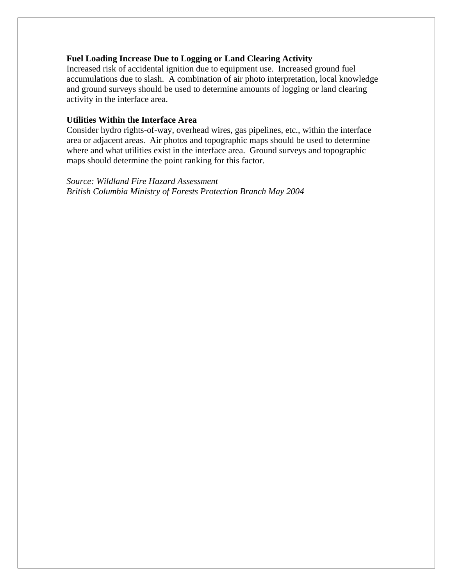## **Fuel Loading Increase Due to Logging or Land Clearing Activity**

Increased risk of accidental ignition due to equipment use. Increased ground fuel accumulations due to slash. A combination of air photo interpretation, local knowledge and ground surveys should be used to determine amounts of logging or land clearing activity in the interface area.

## **Utilities Within the Interface Area**

Consider hydro rights-of-way, overhead wires, gas pipelines, etc., within the interface area or adjacent areas. Air photos and topographic maps should be used to determine where and what utilities exist in the interface area. Ground surveys and topographic maps should determine the point ranking for this factor.

*Source: Wildland Fire Hazard Assessment British Columbia Ministry of Forests Protection Branch May 2004*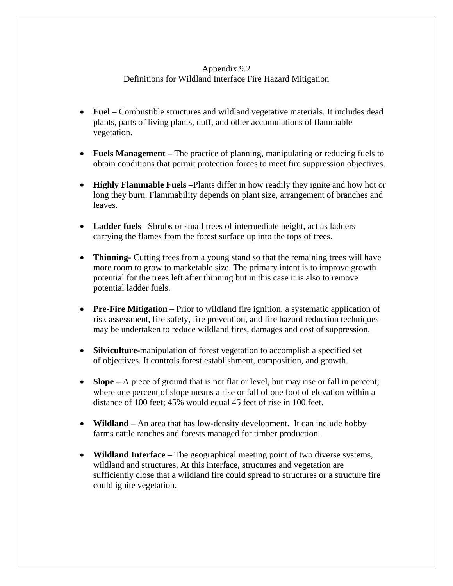## Appendix 9.2 Definitions for Wildland Interface Fire Hazard Mitigation

- **Fuel** Combustible structures and wildland vegetative materials. It includes dead plants, parts of living plants, duff, and other accumulations of flammable vegetation.
- **Fuels Management** The practice of planning, manipulating or reducing fuels to obtain conditions that permit protection forces to meet fire suppression objectives.
- **Highly Flammable Fuels** –Plants differ in how readily they ignite and how hot or long they burn. Flammability depends on plant size, arrangement of branches and leaves.
- **Ladder fuels** Shrubs or small trees of intermediate height, act as ladders carrying the flames from the forest surface up into the tops of trees.
- **Thinning-** Cutting trees from a young stand so that the remaining trees will have more room to grow to marketable size. The primary intent is to improve growth potential for the trees left after thinning but in this case it is also to remove potential ladder fuels.
- **Pre-Fire Mitigation** Prior to wildland fire ignition, a systematic application of risk assessment, fire safety, fire prevention, and fire hazard reduction techniques may be undertaken to reduce wildland fires, damages and cost of suppression.
- **Silviculture-**manipulation of forest vegetation to accomplish a specified set of objectives. It controls forest establishment, composition, and growth.
- **Slope** A piece of ground that is not flat or level, but may rise or fall in percent; where one percent of slope means a rise or fall of one foot of elevation within a distance of 100 feet; 45% would equal 45 feet of rise in 100 feet.
- **Wildland** An area that has low-density development. It can include hobby farms cattle ranches and forests managed for timber production.
- **Wildland Interface** The geographical meeting point of two diverse systems, wildland and structures. At this interface, structures and vegetation are sufficiently close that a wildland fire could spread to structures or a structure fire could ignite vegetation.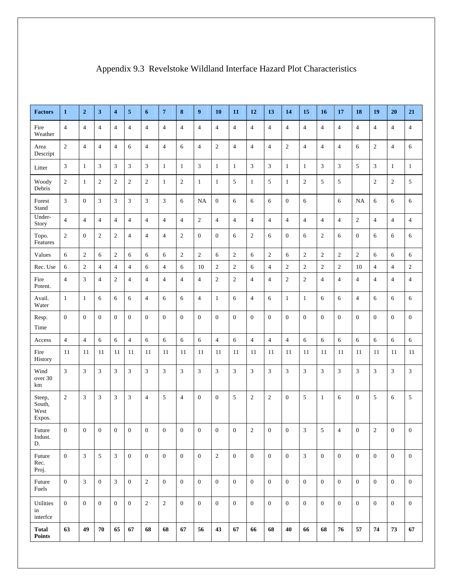| <b>Factors</b>                     | $\mathbf{1}$     | $\overline{2}$   | $\mathbf{3}$     | $\overline{\mathbf{4}}$     | 5              | 6                           | $\overline{7}$ | 8                | $\boldsymbol{9}$ | 10             | 11             | 12               | 13             | 14             | 15               | 16               | 17               | 18               | 19               | 20               | 21             |
|------------------------------------|------------------|------------------|------------------|-----------------------------|----------------|-----------------------------|----------------|------------------|------------------|----------------|----------------|------------------|----------------|----------------|------------------|------------------|------------------|------------------|------------------|------------------|----------------|
| Fire<br>Weather                    | $\overline{4}$   | $\overline{4}$   | $\overline{4}$   | $\overline{4}$              | 4              | $\overline{4}$              | $\overline{4}$ | $\overline{4}$   | $\overline{4}$   | $\overline{4}$ | $\overline{4}$ | $\overline{4}$   | $\overline{4}$ | $\overline{4}$ | $\overline{4}$   | $\overline{4}$   | $\overline{4}$   | $\overline{4}$   | $\overline{4}$   | $\overline{4}$   | $\overline{4}$ |
| Area<br>Descript                   | $\overline{2}$   | $\overline{4}$   | $\overline{4}$   | $\overline{4}$              | 6              | $\overline{4}$              | $\overline{4}$ | 6                | $\sqrt{4}$       | $\overline{2}$ | $\overline{4}$ | $\overline{4}$   | $\overline{4}$ | $\overline{c}$ | $\overline{4}$   | $\overline{4}$   | $\overline{4}$   | 6                | $\mathbf{2}$     | $\overline{4}$   | 6              |
| Litter                             | 3                | $\mathbf{1}$     | $\mathfrak{Z}$   | $\mathfrak{Z}$              | 3              | $\mathfrak{Z}$              | 1              | 1                | $\mathfrak{Z}$   | $\mathbf{1}$   | $\mathbf{1}$   | 3                | 3              | $\mathbf{1}$   | $\mathbf{1}$     | 3                | 3                | 5                | 3                | 1                | $\mathbf{1}$   |
| Woody<br>Debris                    | $\boldsymbol{2}$ | $\mathbf{1}$     | $\sqrt{2}$       | $\overline{2}$              | $\overline{c}$ | $\boldsymbol{2}$            | 1              | $\mathbf{2}$     | $\mathbf{1}$     | $\mathbf{1}$   | 5              | $\mathbf{1}$     | 5              | $\mathbf{1}$   | $\sqrt{2}$       | 5                | 5                |                  | $\boldsymbol{2}$ | $\sqrt{2}$       | 5              |
| Forest<br>Stand                    | $\mathfrak{Z}$   | $\boldsymbol{0}$ | $\mathfrak{Z}$   | $\mathfrak{Z}$              | 3              | $\ensuremath{\mathfrak{Z}}$ | 3              | 6                | <b>NA</b>        | $\mathbf{0}$   | 6              | $\sqrt{6}$       | 6              | $\mathbf{0}$   | 6                |                  | 6                | NA               | 6                | 6                | 6              |
| Under-<br>Story                    | $\overline{4}$   | $\overline{4}$   | $\overline{4}$   | $\overline{4}$              | 4              | $\overline{4}$              | $\overline{4}$ | $\overline{4}$   | $\sqrt{2}$       | $\overline{4}$ | $\overline{4}$ | $\overline{4}$   | $\overline{4}$ | $\overline{4}$ | $\overline{4}$   | $\overline{4}$   | $\overline{4}$   | $\overline{2}$   | $\overline{4}$   | $\overline{4}$   | $\overline{4}$ |
| Topo.<br>Features                  | $\boldsymbol{2}$ | $\boldsymbol{0}$ | $\overline{2}$   | $\overline{2}$              | $\overline{4}$ | $\overline{4}$              | $\overline{4}$ | $\overline{2}$   | $\boldsymbol{0}$ | $\mathbf{0}$   | 6              | $\sqrt{2}$       | 6              | $\mathbf{0}$   | 6                | $\mathbf{2}$     | 6                | $\boldsymbol{0}$ | 6                | 6                | 6              |
| Values                             | 6                | $\sqrt{2}$       | 6                | $\overline{2}$              | 6              | 6                           | 6              | $\sqrt{2}$       | $\sqrt{2}$       | 6              | $\overline{c}$ | $\sqrt{6}$       | $\sqrt{2}$     | 6              | $\sqrt{2}$       | $\mathfrak{2}$   | $\sqrt{2}$       | $\overline{c}$   | 6                | 6                | 6              |
| Rec. Use                           | 6                | $\mathfrak{2}$   | $\overline{4}$   | $\overline{4}$              | 4              | 6                           | $\overline{4}$ | 6                | 10               | 2              | $\overline{2}$ | 6                | $\overline{4}$ | $\overline{c}$ | $\sqrt{2}$       | $\mathfrak{2}$   | $\overline{c}$   | 10               | $\overline{4}$   | $\overline{4}$   | $\mathfrak{2}$ |
| Fire<br>Potent.                    | $\overline{4}$   | $\mathfrak{Z}$   | $\overline{4}$   | $\boldsymbol{2}$            | $\overline{4}$ | $\overline{4}$              | $\overline{4}$ | $\overline{4}$   | $\overline{4}$   | $\overline{c}$ | $\overline{c}$ | $\overline{4}$   | $\overline{4}$ | $\overline{c}$ | $\boldsymbol{2}$ | $\overline{4}$   | $\overline{4}$   | $\overline{4}$   | $\overline{4}$   | $\overline{4}$   | $\overline{4}$ |
| Avail.<br>Water                    | $\mathbf{1}$     | $\mathbf{1}$     | 6                | 6                           | 6              | $\overline{4}$              | 6              | 6                | $\sqrt{4}$       | $\mathbf{1}$   | 6              | $\overline{4}$   | 6              | $\mathbf{1}$   | $\mathbf{1}$     | 6                | 6                | $\overline{4}$   | 6                | 6                | 6              |
| Resp.                              | $\mathbf{0}$     | $\mathbf{0}$     | $\boldsymbol{0}$ | $\boldsymbol{0}$            | $\mathbf{0}$   | $\mathbf{0}$                | $\mathbf{0}$   | $\mathbf{0}$     | $\boldsymbol{0}$ | $\mathbf{0}$   | $\overline{0}$ | $\boldsymbol{0}$ | $\mathbf{0}$   | $\overline{0}$ | $\boldsymbol{0}$ | $\boldsymbol{0}$ | $\boldsymbol{0}$ | $\boldsymbol{0}$ | $\mathbf{0}$     | $\boldsymbol{0}$ | $\mathbf{0}$   |
| Time                               |                  |                  |                  |                             |                |                             |                |                  |                  |                |                |                  |                |                |                  |                  |                  |                  |                  |                  |                |
| Access                             | $\overline{4}$   | $\overline{4}$   | 6                | 6                           | $\overline{4}$ | 6                           | 6              | 6                | $\sqrt{6}$       | $\overline{4}$ | 6              | $\overline{4}$   | $\overline{4}$ | $\overline{4}$ | 6                | 6                | 6                | 6                | 6                | 6                | 6              |
| Fire<br>History                    | 11               | 11               | 11               | 11                          | 11             | 11                          | 11             | 11               | 11               | 11             | 11             | 11               | 11             | 11             | 11               | 11               | 11               | 11               | 11               | 11               | 11             |
| Wind<br>over 30<br>km              | 3                | $\mathfrak{Z}$   | $\mathfrak{Z}$   | $\mathfrak{Z}$              | 3              | $\mathfrak{Z}$              | 3              | $\mathfrak{Z}$   | $\mathfrak{Z}$   | 3              | 3              | $\mathfrak{Z}$   | 3              | 3              | 3                | 3                | 3                | 3                | $\mathfrak{Z}$   | $\mathfrak{Z}$   | 3              |
| Steep,<br>South,<br>West<br>Expos. | $\overline{2}$   | 3                | 3                | 3                           | 3              | $\overline{4}$              | 5              | $\overline{4}$   | $\boldsymbol{0}$ | $\overline{0}$ | 5              | $\boldsymbol{2}$ | $\overline{2}$ | $\mathbf{0}$   | 5                | $\mathbf{1}$     | 6                | $\mathbf{0}$     | 5                | 6                | 5              |
| Future<br>Indust.<br>D.            | $\overline{0}$   | $\overline{0}$   | $\overline{0}$   | $\mathbf{0}$                | $\overline{0}$ | $\overline{0}$              | $\overline{0}$ | $\overline{0}$   | $\mathbf{0}$     | $\overline{0}$ | $\overline{0}$ | $\overline{2}$   | $\mathbf{0}$   | $\overline{0}$ | 3                | 5                | $\overline{4}$   | $\overline{0}$   | $\overline{2}$   | $\overline{0}$   | $\overline{0}$ |
| Future<br>Rec.<br>Proj.            | $\boldsymbol{0}$ | 3                | 5                | $\ensuremath{\mathfrak{Z}}$ | $\mathbf{0}$   | $\mathbf{0}$                | $\overline{0}$ | $\mathbf{0}$     | $\boldsymbol{0}$ | $\overline{2}$ | $\overline{0}$ | $\boldsymbol{0}$ | $\mathbf{0}$   | $\mathbf{0}$   | 3                | $\mathbf{0}$     | $\boldsymbol{0}$ | $\mathbf{0}$     | $\overline{0}$   | $\mathbf{0}$     | $\mathbf{0}$   |
| Future<br>Fuels                    | $\mathbf{0}$     | $\sqrt{3}$       | $\boldsymbol{0}$ | $\mathfrak{Z}$              | $\mathbf{0}$   | $\overline{c}$              | $\mathbf{0}$   | $\boldsymbol{0}$ | $\mathbf{0}$     | $\mathbf{0}$   | $\overline{0}$ | $\boldsymbol{0}$ | $\overline{0}$ | $\mathbf{0}$   | $\boldsymbol{0}$ | $\mathbf{0}$     | $\boldsymbol{0}$ | $\boldsymbol{0}$ | $\overline{0}$   | $\mathbf{0}$     | $\mathbf{0}$   |
| Utilities<br>in<br>interfce        | $\boldsymbol{0}$ | $\boldsymbol{0}$ | $\boldsymbol{0}$ | $\mathbf{0}$                | $\mathbf{0}$   | $\sqrt{2}$                  | $\overline{2}$ | $\boldsymbol{0}$ | $\boldsymbol{0}$ | $\mathbf{0}$   | $\overline{0}$ | $\boldsymbol{0}$ | $\mathbf{0}$   | $\mathbf{0}$   | $\mathbf{0}$     | $\overline{0}$   | $\boldsymbol{0}$ | $\mathbf{0}$     | $\mathbf{0}$     | $\boldsymbol{0}$ | $\mathbf{0}$   |
| <b>Total</b><br><b>Points</b>      | 63               | 49               | 70               | 65                          | 67             | 68                          | 68             | 67               | 56               | 43             | 67             | 66               | 68             | 40             | 66               | 68               | 76               | 57               | 74               | 73               | 67             |

## Appendix 9.3 Revelstoke Wildland Interface Hazard Plot Characteristics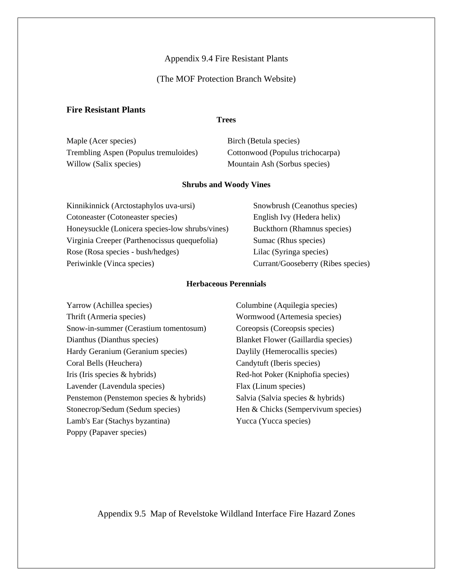### Appendix 9.4 Fire Resistant Plants

## (The MOF Protection Branch Website)

## **Fire Resistant Plants**

#### **Trees**

Maple (Acer species) Birch (Betula species) Trembling Aspen (Populus tremuloides) Cottonwood (Populus trichocarpa) Willow (Salix species) Mountain Ash (Sorbus species)

#### **Shrubs and Woody Vines**

| Kinnikinnick (Arctostaphylos uva-ursi)          | Snowbrush (Ceanothus species)      |
|-------------------------------------------------|------------------------------------|
| Cotoneaster (Cotoneaster species)               | English Ivy (Hedera helix)         |
| Honeysuckle (Lonicera species-low shrubs/vines) | Buckthorn (Rhamnus species)        |
| Virginia Creeper (Parthenocissus quequefolia)   | Sumac (Rhus species)               |
| Rose (Rosa species - bush/hedges)               | Lilac (Syringa species)            |
| Periwinkle (Vinca species)                      | Currant/Gooseberry (Ribes species) |

#### **Herbaceous Perennials**

Columbine (Aquilegia species) Wormwood (Artemesia species) Coreopsis (Coreopsis species) Blanket Flower (Gaillardia species) Daylily (Hemerocallis species) Candytuft (Iberis species) Red-hot Poker (Kniphofia species) Flax (Linum species) Salvia (Salvia species & hybrids) Hen & Chicks (Sempervivum species) Yucca (Yucca species)

Appendix 9.5 Map of Revelstoke Wildland Interface Fire Hazard Zones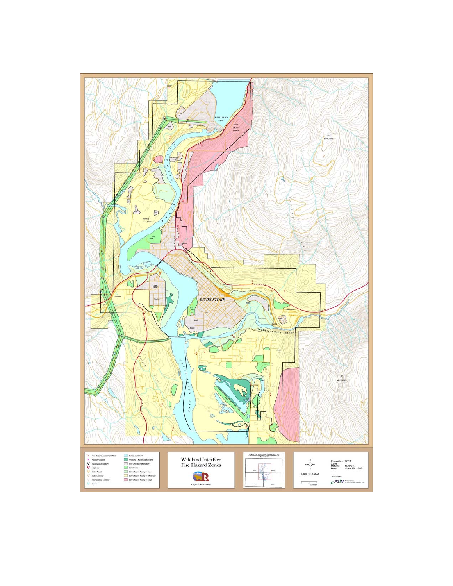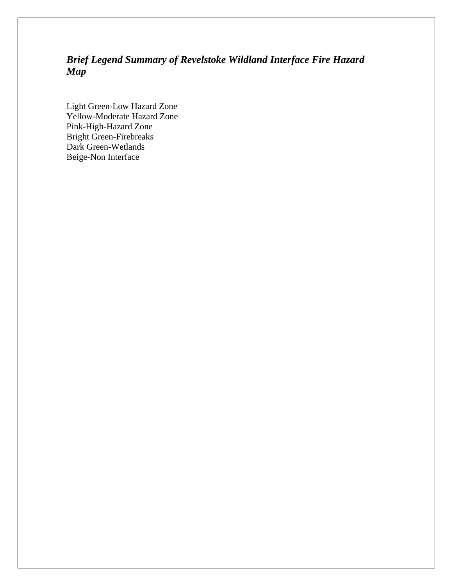## *Brief Legend Summary of Revelstoke Wildland Interface Fire Hazard Map*

Light Green-Low Hazard Zone Yellow-Moderate Hazard Zone Pink-High-Hazard Zone Bright Green-Firebreaks Dark Green-Wetlands Beige-Non Interface